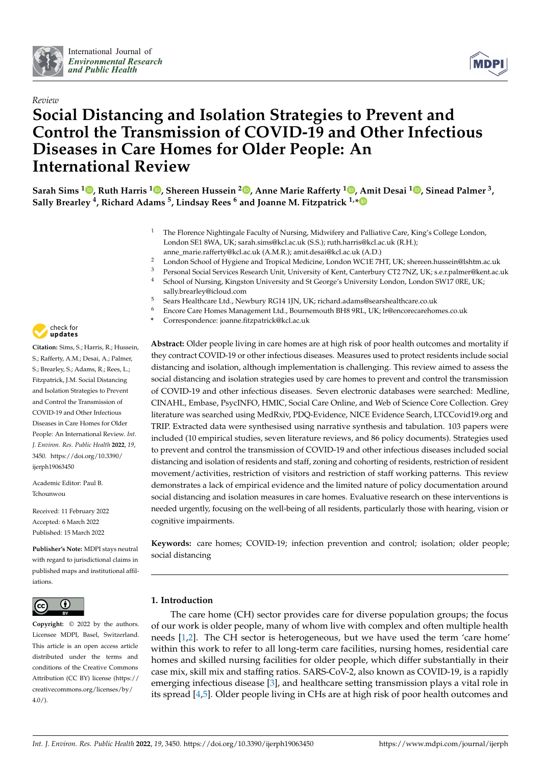



# *Review* **Social Distancing and Isolation Strategies to Prevent and Control the Transmission of COVID-19 and Other Infectious Diseases in Care Homes for Older People: An International Review**

**Sarah Sims <sup>1</sup> , Ruth Harris <sup>1</sup> , Shereen Hussein <sup>2</sup> , Anne Marie Rafferty <sup>1</sup> , Amit Desai <sup>1</sup> , Sinead Palmer 3, Sally Brearley 4, Richard Adams 5, Lindsay Rees <sup>6</sup> and Joanne M. Fitzpatrick 1,\***

- <sup>1</sup> The Florence Nightingale Faculty of Nursing, Midwifery and Palliative Care, King's College London, London SE1 8WA, UK; sarah.sims@kcl.ac.uk (S.S.); ruth.harris@kcl.ac.uk (R.H.); anne\_marie.rafferty@kcl.ac.uk (A.M.R.); amit.desai@kcl.ac.uk (A.D.)
- <sup>2</sup> London School of Hygiene and Tropical Medicine, London WC1E 7HT, UK; shereen.hussein@lshtm.ac.uk
- <sup>3</sup> Personal Social Services Research Unit, University of Kent, Canterbury CT2 7NZ, UK; s.e.r.palmer@kent.ac.uk
- <sup>4</sup> School of Nursing, Kingston University and St George's University London, London SW17 0RE, UK;
	- sally.brearley@icloud.com
- <sup>5</sup> Sears Healthcare Ltd., Newbury RG14 1JN, UK; richard.adams@searshealthcare.co.uk
- <sup>6</sup> Encore Care Homes Management Ltd., Bournemouth BH8 9RL, UK; lr@encorecarehomes.co.uk
- **\*** Correspondence: joanne.fitzpatrick@kcl.ac.uk

**Abstract:** Older people living in care homes are at high risk of poor health outcomes and mortality if they contract COVID-19 or other infectious diseases. Measures used to protect residents include social distancing and isolation, although implementation is challenging. This review aimed to assess the social distancing and isolation strategies used by care homes to prevent and control the transmission of COVID-19 and other infectious diseases. Seven electronic databases were searched: Medline, CINAHL, Embase, PsycINFO, HMIC, Social Care Online, and Web of Science Core Collection. Grey literature was searched using MedRxiv, PDQ-Evidence, NICE Evidence Search, LTCCovid19.org and TRIP. Extracted data were synthesised using narrative synthesis and tabulation. 103 papers were included (10 empirical studies, seven literature reviews, and 86 policy documents). Strategies used to prevent and control the transmission of COVID-19 and other infectious diseases included social distancing and isolation of residents and staff, zoning and cohorting of residents, restriction of resident movement/activities, restriction of visitors and restriction of staff working patterns. This review demonstrates a lack of empirical evidence and the limited nature of policy documentation around social distancing and isolation measures in care homes. Evaluative research on these interventions is needed urgently, focusing on the well-being of all residents, particularly those with hearing, vision or cognitive impairments.

**Keywords:** care homes; COVID-19; infection prevention and control; isolation; older people; social distancing

## **1. Introduction**

The care home (CH) sector provides care for diverse population groups; the focus of our work is older people, many of whom live with complex and often multiple health needs [1,2]. The CH sector is heterogeneous, but we have used the term 'care home' within this work to refer to all long-term care facilities, nursing homes, residential care homes and skilled nursing facilities for older people, which differ substantially in their case mix, skill mix and staffing ratios. SARS-CoV-2, also known as COVID-19, is a rapidly emerging infectious disease [3], and healthcare setting transmission plays a vital role in its spread [4,5]. Older people living in CHs are at high risk of poor health outcomes and



**Citation:** Sims, S.; Harris, R.; Hussein, S.; Rafferty, A.M.; Desai, A.; Palmer, S.; Brearley, S.; Adams, R.; Rees, L.; Fitzpatrick, J.M. Social Distancing and Isolation Strategies to Prevent and Control the Transmission of COVID-19 and Other Infectious Diseases in Care Homes for Older People: An International Review. *Int. J. Environ. Res. Public Health* **2022**, *19*, 3450. https://doi.org/10.3390/ ijerph19063450

Academic Editor: Paul B. Tchounwou

Received: 11 February 2022 Accepted: 6 March 2022 Published: 15 March 2022

**Publisher's Note:** MDPI stays neutral with regard to jurisdictional claims in published maps and institutional affiliations.



**Copyright:** © 2022 by the authors. Licensee MDPI, Basel, Switzerland. This article is an open access article distributed under the terms and conditions of the Creative Commons Attribution (CC BY) license (https:// creativecommons.org/licenses/by/ 4.0/).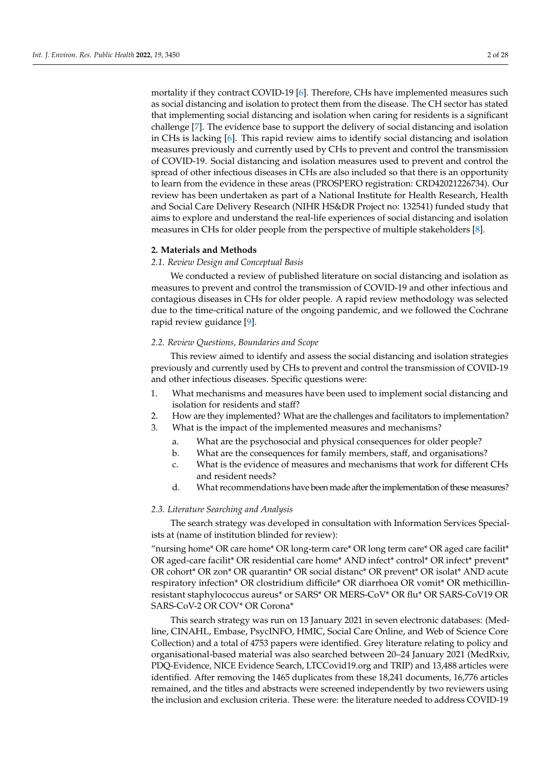mortality if they contract COVID-19 [6]. Therefore, CHs have implemented measures such as social distancing and isolation to protect them from the disease. The CH sector has stated that implementing social distancing and isolation when caring for residents is a significant challenge [7]. The evidence base to support the delivery of social distancing and isolation in CHs is lacking [6]. This rapid review aims to identify social distancing and isolation measures previously and currently used by CHs to prevent and control the transmission of COVID-19. Social distancing and isolation measures used to prevent and control the spread of other infectious diseases in CHs are also included so that there is an opportunity to learn from the evidence in these areas (PROSPERO registration: CRD42021226734). Our review has been undertaken as part of a National Institute for Health Research, Health and Social Care Delivery Research (NIHR HS&DR Project no: 132541) funded study that aims to explore and understand the real-life experiences of social distancing and isolation measures in CHs for older people from the perspective of multiple stakeholders [8].

## **2. Materials and Methods**

## *2.1. Review Design and Conceptual Basis*

We conducted a review of published literature on social distancing and isolation as measures to prevent and control the transmission of COVID-19 and other infectious and contagious diseases in CHs for older people. A rapid review methodology was selected due to the time-critical nature of the ongoing pandemic, and we followed the Cochrane rapid review guidance [9].

## *2.2. Review Questions, Boundaries and Scope*

This review aimed to identify and assess the social distancing and isolation strategies previously and currently used by CHs to prevent and control the transmission of COVID-19 and other infectious diseases. Specific questions were:

- 1. What mechanisms and measures have been used to implement social distancing and isolation for residents and staff?
- 2. How are they implemented? What are the challenges and facilitators to implementation?
- 3. What is the impact of the implemented measures and mechanisms?
	- a. What are the psychosocial and physical consequences for older people?
	- b. What are the consequences for family members, staff, and organisations?
	- c. What is the evidence of measures and mechanisms that work for different CHs and resident needs?
	- d. What recommendations have been made after the implementation of these measures?

#### *2.3. Literature Searching and Analysis*

The search strategy was developed in consultation with Information Services Specialists at (name of institution blinded for review):

"nursing home\* OR care home\* OR long-term care\* OR long term care\* OR aged care facilit\* OR aged-care facilit\* OR residential care home\* AND infect\* control\* OR infect\* prevent\* OR cohort\* OR zon\* OR quarantin\* OR social distanc\* OR prevent\* OR isolat\* AND acute respiratory infection\* OR clostridium difficile\* OR diarrhoea OR vomit\* OR methicillinresistant staphylococcus aureus\* or SARS\* OR MERS-CoV\* OR flu\* OR SARS-CoV19 OR SARS-CoV-2 OR COV\* OR Corona\*

This search strategy was run on 13 January 2021 in seven electronic databases: (Medline, CINAHL, Embase, PsycINFO, HMIC, Social Care Online, and Web of Science Core Collection) and a total of 4753 papers were identified. Grey literature relating to policy and organisational-based material was also searched between 20–24 January 2021 (MedRxiv, PDQ-Evidence, NICE Evidence Search, LTCCovid19.org and TRIP) and 13,488 articles were identified. After removing the 1465 duplicates from these 18,241 documents, 16,776 articles remained, and the titles and abstracts were screened independently by two reviewers using the inclusion and exclusion criteria. These were: the literature needed to address COVID-19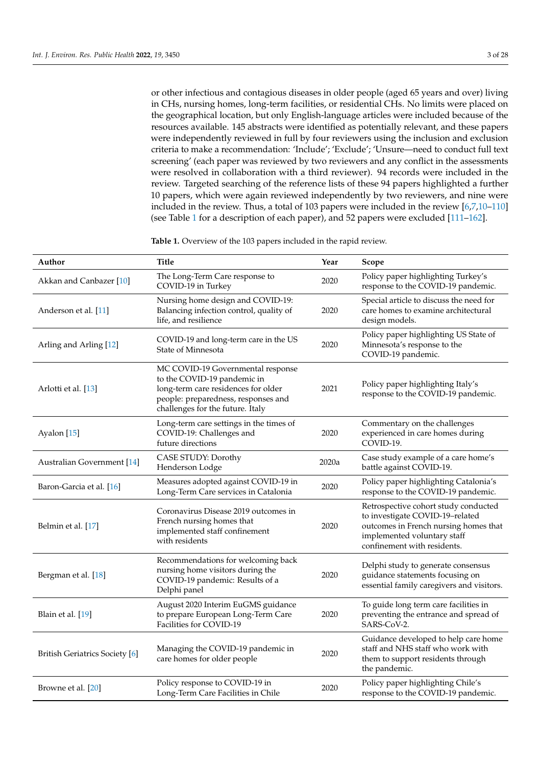or other infectious and contagious diseases in older people (aged 65 years and over) living in CHs, nursing homes, long-term facilities, or residential CHs. No limits were placed on the geographical location, but only English-language articles were included because of the resources available. 145 abstracts were identified as potentially relevant, and these papers were independently reviewed in full by four reviewers using the inclusion and exclusion criteria to make a recommendation: 'Include'; 'Exclude'; 'Unsure—need to conduct full text screening' (each paper was reviewed by two reviewers and any conflict in the assessments were resolved in collaboration with a third reviewer). 94 records were included in the review. Targeted searching of the reference lists of these 94 papers highlighted a further 10 papers, which were again reviewed independently by two reviewers, and nine were included in the review. Thus, a total of 103 papers were included in the review [6,7,10–110] (see Table 1 for a description of each paper), and 52 papers were excluded [111–162].

**Table 1.** Overview of the 103 papers included in the rapid review.

| Author                                | Title                                                                                                                                                                              | Year  | Scope                                                                                                                                                                          |
|---------------------------------------|------------------------------------------------------------------------------------------------------------------------------------------------------------------------------------|-------|--------------------------------------------------------------------------------------------------------------------------------------------------------------------------------|
| Akkan and Canbazer [10]               | The Long-Term Care response to<br>COVID-19 in Turkey                                                                                                                               | 2020  | Policy paper highlighting Turkey's<br>response to the COVID-19 pandemic.                                                                                                       |
| Anderson et al. [11]                  | Nursing home design and COVID-19:<br>Balancing infection control, quality of<br>life, and resilience                                                                               | 2020  | Special article to discuss the need for<br>care homes to examine architectural<br>design models.                                                                               |
| Arling and Arling [12]                | COVID-19 and long-term care in the US<br>State of Minnesota                                                                                                                        | 2020  | Policy paper highlighting US State of<br>Minnesota's response to the<br>COVID-19 pandemic.                                                                                     |
| Arlotti et al. [13]                   | MC COVID-19 Governmental response<br>to the COVID-19 pandemic in<br>long-term care residences for older<br>people: preparedness, responses and<br>challenges for the future. Italy | 2021  | Policy paper highlighting Italy's<br>response to the COVID-19 pandemic.                                                                                                        |
| Ayalon [15]                           | Long-term care settings in the times of<br>COVID-19: Challenges and<br>future directions                                                                                           | 2020  | Commentary on the challenges<br>experienced in care homes during<br>COVID-19.                                                                                                  |
| <b>Australian Government</b> [14]     | CASE STUDY: Dorothy<br>Henderson Lodge                                                                                                                                             | 2020a | Case study example of a care home's<br>battle against COVID-19.                                                                                                                |
| Baron-Garcia et al. [16]              | Measures adopted against COVID-19 in<br>Long-Term Care services in Catalonia                                                                                                       | 2020  | Policy paper highlighting Catalonia's<br>response to the COVID-19 pandemic.                                                                                                    |
| Belmin et al. [17]                    | Coronavirus Disease 2019 outcomes in<br>French nursing homes that<br>implemented staff confinement<br>with residents                                                               | 2020  | Retrospective cohort study conducted<br>to investigate COVID-19-related<br>outcomes in French nursing homes that<br>implemented voluntary staff<br>confinement with residents. |
| Bergman et al. [18]                   | Recommendations for welcoming back<br>nursing home visitors during the<br>COVID-19 pandemic: Results of a<br>Delphi panel                                                          | 2020  | Delphi study to generate consensus<br>guidance statements focusing on<br>essential family caregivers and visitors.                                                             |
| Blain et al. [19]                     | August 2020 Interim EuGMS guidance<br>to prepare European Long-Term Care<br>Facilities for COVID-19                                                                                | 2020  | To guide long term care facilities in<br>preventing the entrance and spread of<br>SARS-CoV-2.                                                                                  |
| <b>British Geriatrics Society</b> [6] | Managing the COVID-19 pandemic in<br>care homes for older people                                                                                                                   | 2020  | Guidance developed to help care home<br>staff and NHS staff who work with<br>them to support residents through<br>the pandemic.                                                |
| Browne et al. [20]                    | Policy response to COVID-19 in<br>Long-Term Care Facilities in Chile                                                                                                               | 2020  | Policy paper highlighting Chile's<br>response to the COVID-19 pandemic.                                                                                                        |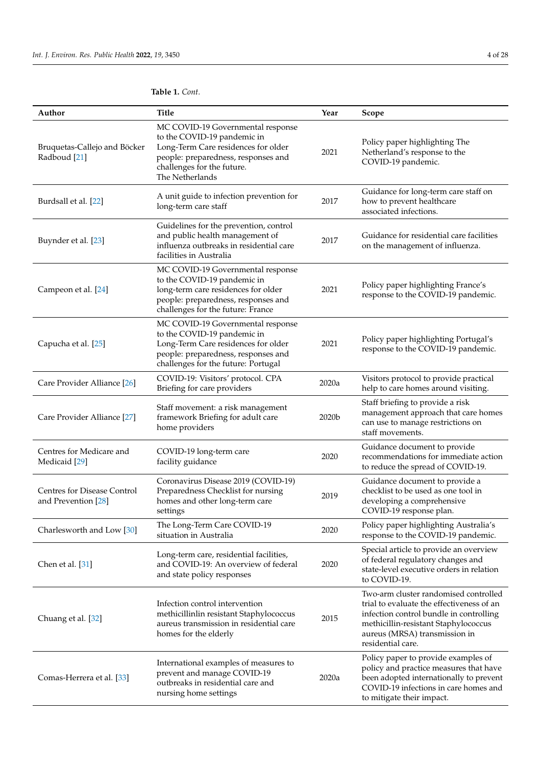| Author                                                    | Title                                                                                                                                                                                           | Year  | Scope                                                                                                                                                                                                                       |
|-----------------------------------------------------------|-------------------------------------------------------------------------------------------------------------------------------------------------------------------------------------------------|-------|-----------------------------------------------------------------------------------------------------------------------------------------------------------------------------------------------------------------------------|
| Bruquetas-Callejo and Böcker<br>Radboud [21]              | MC COVID-19 Governmental response<br>to the COVID-19 pandemic in<br>Long-Term Care residences for older<br>people: preparedness, responses and<br>challenges for the future.<br>The Netherlands | 2021  | Policy paper highlighting The<br>Netherland's response to the<br>COVID-19 pandemic.                                                                                                                                         |
| Burdsall et al. [22]                                      | A unit guide to infection prevention for<br>long-term care staff                                                                                                                                | 2017  | Guidance for long-term care staff on<br>how to prevent healthcare<br>associated infections.                                                                                                                                 |
| Buynder et al. [23]                                       | Guidelines for the prevention, control<br>and public health management of<br>influenza outbreaks in residential care<br>facilities in Australia                                                 | 2017  | Guidance for residential care facilities<br>on the management of influenza.                                                                                                                                                 |
| Campeon et al. [24]                                       | MC COVID-19 Governmental response<br>to the COVID-19 pandemic in<br>long-term care residences for older<br>people: preparedness, responses and<br>challenges for the future: France             | 2021  | Policy paper highlighting France's<br>response to the COVID-19 pandemic.                                                                                                                                                    |
| Capucha et al. [25]                                       | MC COVID-19 Governmental response<br>to the COVID-19 pandemic in<br>Long-Term Care residences for older<br>people: preparedness, responses and<br>challenges for the future: Portugal           | 2021  | Policy paper highlighting Portugal's<br>response to the COVID-19 pandemic.                                                                                                                                                  |
| Care Provider Alliance [26]                               | COVID-19: Visitors' protocol. CPA<br>Briefing for care providers                                                                                                                                | 2020a | Visitors protocol to provide practical<br>help to care homes around visiting.                                                                                                                                               |
| Care Provider Alliance [27]                               | Staff movement: a risk management<br>framework Briefing for adult care<br>home providers                                                                                                        | 2020b | Staff briefing to provide a risk<br>management approach that care homes<br>can use to manage restrictions on<br>staff movements.                                                                                            |
| Centres for Medicare and<br>Medicaid [29]                 | COVID-19 long-term care<br>facility guidance                                                                                                                                                    | 2020  | Guidance document to provide<br>recommendations for immediate action<br>to reduce the spread of COVID-19.                                                                                                                   |
| <b>Centres for Disease Control</b><br>and Prevention [28] | Coronavirus Disease 2019 (COVID-19)<br>Preparedness Checklist for nursing<br>homes and other long-term care<br>settings                                                                         | 2019  | Guidance document to provide a<br>checklist to be used as one tool in<br>developing a comprehensive<br>COVID-19 response plan.                                                                                              |
| Charlesworth and Low [30]                                 | The Long-Term Care COVID-19<br>situation in Australia                                                                                                                                           | 2020  | Policy paper highlighting Australia's<br>response to the COVID-19 pandemic.                                                                                                                                                 |
| Chen et al. [31]                                          | Long-term care, residential facilities,<br>and COVID-19: An overview of federal<br>and state policy responses                                                                                   | 2020  | Special article to provide an overview<br>of federal regulatory changes and<br>state-level executive orders in relation<br>to COVID-19.                                                                                     |
| Chuang et al. [32]                                        | Infection control intervention<br>methicillinlin resistant Staphylococcus<br>aureus transmission in residential care<br>homes for the elderly                                                   | 2015  | Two-arm cluster randomised controlled<br>trial to evaluate the effectiveness of an<br>infection control bundle in controlling<br>methicillin-resistant Staphylococcus<br>aureus (MRSA) transmission in<br>residential care. |
| Comas-Herrera et al. [33]                                 | International examples of measures to<br>prevent and manage COVID-19<br>outbreaks in residential care and<br>nursing home settings                                                              | 2020a | Policy paper to provide examples of<br>policy and practice measures that have<br>been adopted internationally to prevent<br>COVID-19 infections in care homes and<br>to mitigate their impact.                              |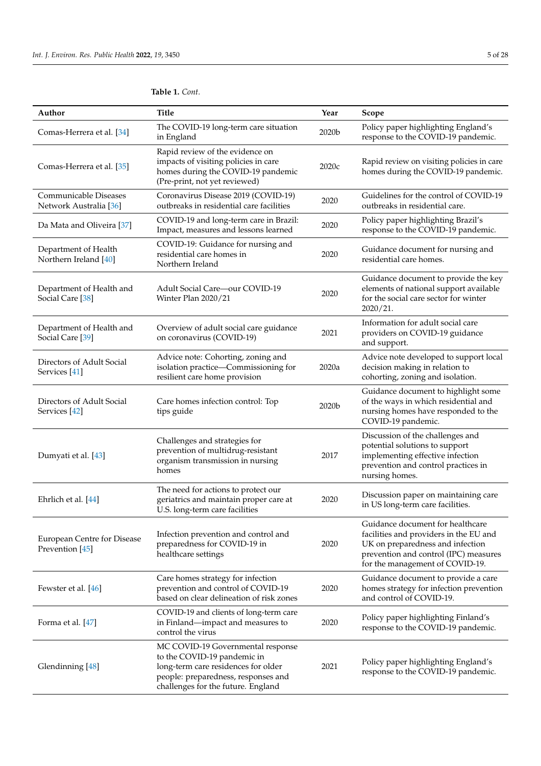| Author                                                | <b>Title</b>                                                                                                                                                                         | Year  | Scope                                                                                                                                                                                      |
|-------------------------------------------------------|--------------------------------------------------------------------------------------------------------------------------------------------------------------------------------------|-------|--------------------------------------------------------------------------------------------------------------------------------------------------------------------------------------------|
| Comas-Herrera et al. [34]                             | The COVID-19 long-term care situation<br>in England                                                                                                                                  | 2020b | Policy paper highlighting England's<br>response to the COVID-19 pandemic.                                                                                                                  |
| Comas-Herrera et al. [35]                             | Rapid review of the evidence on<br>impacts of visiting policies in care<br>homes during the COVID-19 pandemic<br>(Pre-print, not yet reviewed)                                       | 2020c | Rapid review on visiting policies in care<br>homes during the COVID-19 pandemic.                                                                                                           |
| Communicable Diseases<br>Network Australia [36]       | Coronavirus Disease 2019 (COVID-19)<br>outbreaks in residential care facilities                                                                                                      | 2020  | Guidelines for the control of COVID-19<br>outbreaks in residential care.                                                                                                                   |
| Da Mata and Oliveira [37]                             | COVID-19 and long-term care in Brazil:<br>Impact, measures and lessons learned                                                                                                       | 2020  | Policy paper highlighting Brazil's<br>response to the COVID-19 pandemic.                                                                                                                   |
| Department of Health<br>Northern Ireland [40]         | COVID-19: Guidance for nursing and<br>residential care homes in<br>Northern Ireland                                                                                                  | 2020  | Guidance document for nursing and<br>residential care homes.                                                                                                                               |
| Department of Health and<br>Social Care [38]          | Adult Social Care-our COVID-19<br>Winter Plan 2020/21                                                                                                                                | 2020  | Guidance document to provide the key<br>elements of national support available<br>for the social care sector for winter<br>2020/21.                                                        |
| Department of Health and<br>Social Care [39]          | Overview of adult social care guidance<br>on coronavirus (COVID-19)                                                                                                                  | 2021  | Information for adult social care<br>providers on COVID-19 guidance<br>and support.                                                                                                        |
| Directors of Adult Social<br>Services <sup>[41]</sup> | Advice note: Cohorting, zoning and<br>isolation practice-Commissioning for<br>resilient care home provision                                                                          | 2020a | Advice note developed to support local<br>decision making in relation to<br>cohorting, zoning and isolation.                                                                               |
| Directors of Adult Social<br>Services [42]            | Care homes infection control: Top<br>tips guide                                                                                                                                      | 2020b | Guidance document to highlight some<br>of the ways in which residential and<br>nursing homes have responded to the<br>COVID-19 pandemic.                                                   |
| Dumyati et al. [43]                                   | Challenges and strategies for<br>prevention of multidrug-resistant<br>organism transmission in nursing<br>homes                                                                      | 2017  | Discussion of the challenges and<br>potential solutions to support<br>implementing effective infection<br>prevention and control practices in<br>nursing homes.                            |
| Ehrlich et al. [44]                                   | The need for actions to protect our<br>geriatrics and maintain proper care at<br>U.S. long-term care facilities                                                                      | 2020  | Discussion paper on maintaining care<br>in US long-term care facilities.                                                                                                                   |
| European Centre for Disease<br>Prevention [45]        | Infection prevention and control and<br>preparedness for COVID-19 in<br>healthcare settings                                                                                          | 2020  | Guidance document for healthcare<br>facilities and providers in the EU and<br>UK on preparedness and infection<br>prevention and control (IPC) measures<br>for the management of COVID-19. |
| Fewster et al. [46]                                   | Care homes strategy for infection<br>prevention and control of COVID-19<br>based on clear delineation of risk zones                                                                  | 2020  | Guidance document to provide a care<br>homes strategy for infection prevention<br>and control of COVID-19.                                                                                 |
| Forma et al. [47]                                     | COVID-19 and clients of long-term care<br>in Finland—impact and measures to<br>control the virus                                                                                     | 2020  | Policy paper highlighting Finland's<br>response to the COVID-19 pandemic.                                                                                                                  |
| Glendinning [48]                                      | MC COVID-19 Governmental response<br>to the COVID-19 pandemic in<br>long-term care residences for older<br>people: preparedness, responses and<br>challenges for the future. England | 2021  | Policy paper highlighting England's<br>response to the COVID-19 pandemic.                                                                                                                  |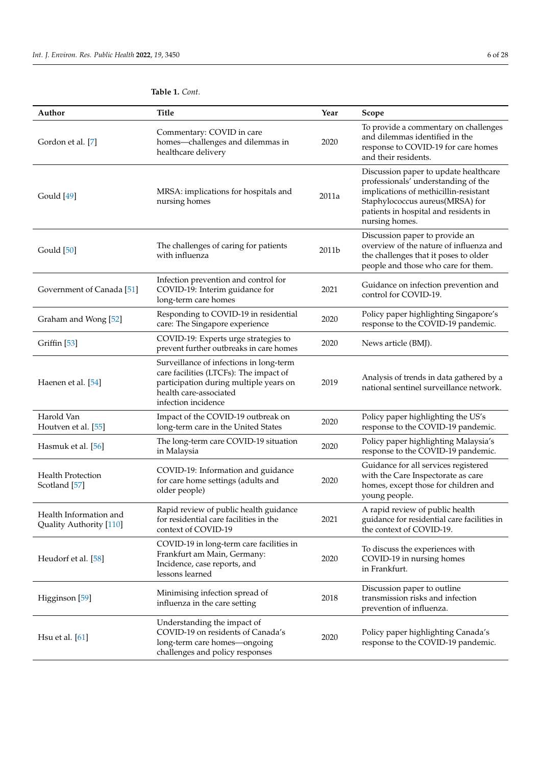| Author                                            | <b>Title</b>                                                                                                                                                                 | Year  | <b>Scope</b>                                                                                                                                                                                                        |
|---------------------------------------------------|------------------------------------------------------------------------------------------------------------------------------------------------------------------------------|-------|---------------------------------------------------------------------------------------------------------------------------------------------------------------------------------------------------------------------|
| Gordon et al. [7]                                 | Commentary: COVID in care<br>homes-challenges and dilemmas in<br>healthcare delivery                                                                                         | 2020  | To provide a commentary on challenges<br>and dilemmas identified in the<br>response to COVID-19 for care homes<br>and their residents.                                                                              |
| Gould [49]                                        | MRSA: implications for hospitals and<br>nursing homes                                                                                                                        | 2011a | Discussion paper to update healthcare<br>professionals' understanding of the<br>implications of methicillin-resistant<br>Staphylococcus aureus(MRSA) for<br>patients in hospital and residents in<br>nursing homes. |
| Gould [50]                                        | The challenges of caring for patients<br>with influenza                                                                                                                      | 2011b | Discussion paper to provide an<br>overview of the nature of influenza and<br>the challenges that it poses to older<br>people and those who care for them.                                                           |
| Government of Canada <sup>[51]</sup>              | Infection prevention and control for<br>COVID-19: Interim guidance for<br>long-term care homes                                                                               | 2021  | Guidance on infection prevention and<br>control for COVID-19.                                                                                                                                                       |
| Graham and Wong [52]                              | Responding to COVID-19 in residential<br>care: The Singapore experience                                                                                                      | 2020  | Policy paper highlighting Singapore's<br>response to the COVID-19 pandemic.                                                                                                                                         |
| Griffin <sup>[53]</sup>                           | COVID-19: Experts urge strategies to<br>prevent further outbreaks in care homes                                                                                              | 2020  | News article (BMJ).                                                                                                                                                                                                 |
| Haenen et al. [54]                                | Surveillance of infections in long-term<br>care facilities (LTCFs): The impact of<br>participation during multiple years on<br>health care-associated<br>infection incidence | 2019  | Analysis of trends in data gathered by a<br>national sentinel surveillance network.                                                                                                                                 |
| Harold Van<br>Houtven et al. [55]                 | Impact of the COVID-19 outbreak on<br>long-term care in the United States                                                                                                    | 2020  | Policy paper highlighting the US's<br>response to the COVID-19 pandemic.                                                                                                                                            |
| Hasmuk et al. [56]                                | The long-term care COVID-19 situation<br>in Malaysia                                                                                                                         | 2020  | Policy paper highlighting Malaysia's<br>response to the COVID-19 pandemic.                                                                                                                                          |
| <b>Health Protection</b><br>Scotland [57]         | COVID-19: Information and guidance<br>for care home settings (adults and<br>older people)                                                                                    | 2020  | Guidance for all services registered<br>with the Care Inspectorate as care<br>homes, except those for children and<br>young people.                                                                                 |
| Health Information and<br>Quality Authority [110] | Rapid review of public health guidance<br>for residential care facilities in the<br>context of COVID-19                                                                      | 2021  | A rapid review of public health<br>guidance for residential care facilities in<br>the context of COVID-19.                                                                                                          |
| Heudorf et al. [58]                               | COVID-19 in long-term care facilities in<br>Frankfurt am Main, Germany:<br>Incidence, case reports, and<br>lessons learned                                                   | 2020  | To discuss the experiences with<br>COVID-19 in nursing homes<br>in Frankfurt.                                                                                                                                       |
| Higginson <sup>[59]</sup>                         | Minimising infection spread of<br>influenza in the care setting                                                                                                              | 2018  | Discussion paper to outline<br>transmission risks and infection<br>prevention of influenza.                                                                                                                         |
| Hsu et al. [61]                                   | Understanding the impact of<br>COVID-19 on residents of Canada's<br>long-term care homes-ongoing<br>challenges and policy responses                                          | 2020  | Policy paper highlighting Canada's<br>response to the COVID-19 pandemic.                                                                                                                                            |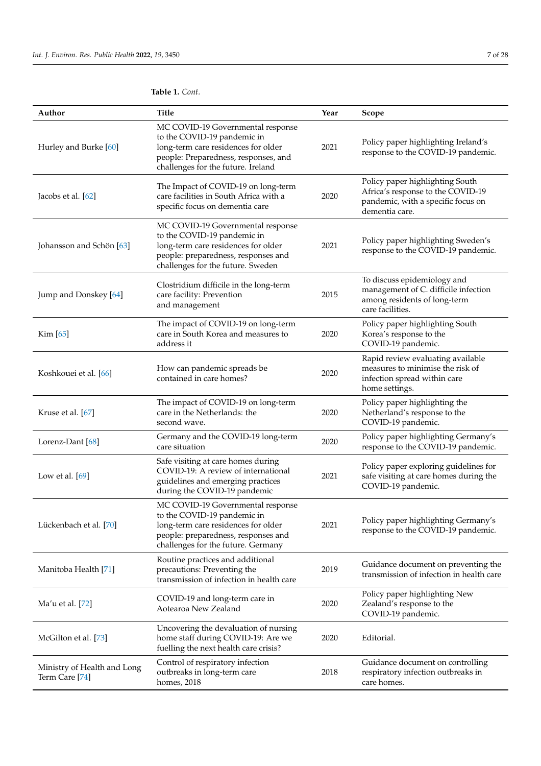| Author                                        | Title                                                                                                                                                                                 | Year | Scope                                                                                                                        |
|-----------------------------------------------|---------------------------------------------------------------------------------------------------------------------------------------------------------------------------------------|------|------------------------------------------------------------------------------------------------------------------------------|
| Hurley and Burke [60]                         | MC COVID-19 Governmental response<br>to the COVID-19 pandemic in<br>long-term care residences for older<br>people: Preparedness, responses, and<br>challenges for the future. Ireland | 2021 | Policy paper highlighting Ireland's<br>response to the COVID-19 pandemic.                                                    |
| Jacobs et al. [62]                            | The Impact of COVID-19 on long-term<br>care facilities in South Africa with a<br>specific focus on dementia care                                                                      | 2020 | Policy paper highlighting South<br>Africa's response to the COVID-19<br>pandemic, with a specific focus on<br>dementia care. |
| Johansson and Schön [63]                      | MC COVID-19 Governmental response<br>to the COVID-19 pandemic in<br>long-term care residences for older<br>people: preparedness, responses and<br>challenges for the future. Sweden   | 2021 | Policy paper highlighting Sweden's<br>response to the COVID-19 pandemic.                                                     |
| Jump and Donskey [64]                         | Clostridium difficile in the long-term<br>care facility: Prevention<br>and management                                                                                                 | 2015 | To discuss epidemiology and<br>management of C. difficile infection<br>among residents of long-term<br>care facilities.      |
| Kim [65]                                      | The impact of COVID-19 on long-term<br>care in South Korea and measures to<br>address it                                                                                              | 2020 | Policy paper highlighting South<br>Korea's response to the<br>COVID-19 pandemic.                                             |
| Koshkouei et al. [66]                         | How can pandemic spreads be<br>contained in care homes?                                                                                                                               | 2020 | Rapid review evaluating available<br>measures to minimise the risk of<br>infection spread within care<br>home settings.      |
| Kruse et al. [67]                             | The impact of COVID-19 on long-term<br>care in the Netherlands: the<br>second wave.                                                                                                   | 2020 | Policy paper highlighting the<br>Netherland's response to the<br>COVID-19 pandemic.                                          |
| Lorenz-Dant [68]                              | Germany and the COVID-19 long-term<br>care situation                                                                                                                                  | 2020 | Policy paper highlighting Germany's<br>response to the COVID-19 pandemic.                                                    |
| Low et al. $[69]$                             | Safe visiting at care homes during<br>COVID-19: A review of international<br>guidelines and emerging practices<br>during the COVID-19 pandemic                                        | 2021 | Policy paper exploring guidelines for<br>safe visiting at care homes during the<br>COVID-19 pandemic.                        |
| Lückenbach et al. [70]                        | MC COVID-19 Governmental response<br>to the COVID-19 pandemic in<br>long-term care residences for older<br>people: preparedness, responses and<br>challenges for the future. Germany  | 2021 | Policy paper highlighting Germany's<br>response to the COVID-19 pandemic.                                                    |
| Manitoba Health [71]                          | Routine practices and additional<br>precautions: Preventing the<br>transmission of infection in health care                                                                           | 2019 | Guidance document on preventing the<br>transmission of infection in health care                                              |
| Ma'u et al. [72]                              | COVID-19 and long-term care in<br>Aotearoa New Zealand                                                                                                                                | 2020 | Policy paper highlighting New<br>Zealand's response to the<br>COVID-19 pandemic.                                             |
| McGilton et al. [73]                          | Uncovering the devaluation of nursing<br>home staff during COVID-19: Are we<br>fuelling the next health care crisis?                                                                  | 2020 | Editorial.                                                                                                                   |
| Ministry of Health and Long<br>Term Care [74] | Control of respiratory infection<br>outbreaks in long-term care<br>homes, 2018                                                                                                        | 2018 | Guidance document on controlling<br>respiratory infection outbreaks in<br>care homes.                                        |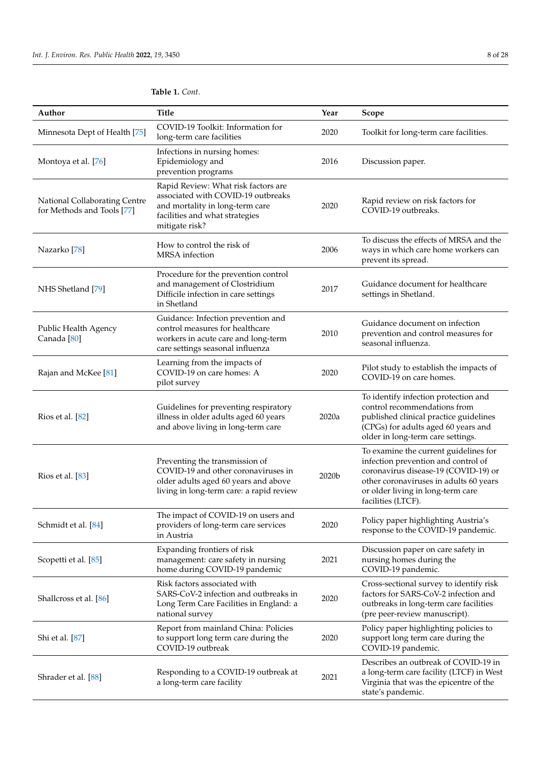| Author                                                      | <b>Title</b>                                                                                                                                                     | Year  | Scope                                                                                                                                                                                                                     |
|-------------------------------------------------------------|------------------------------------------------------------------------------------------------------------------------------------------------------------------|-------|---------------------------------------------------------------------------------------------------------------------------------------------------------------------------------------------------------------------------|
| Minnesota Dept of Health [75]                               | COVID-19 Toolkit: Information for<br>long-term care facilities                                                                                                   | 2020  | Toolkit for long-term care facilities.                                                                                                                                                                                    |
| Montoya et al. [76]                                         | Infections in nursing homes:<br>Epidemiology and<br>prevention programs                                                                                          | 2016  | Discussion paper.                                                                                                                                                                                                         |
| National Collaborating Centre<br>for Methods and Tools [77] | Rapid Review: What risk factors are<br>associated with COVID-19 outbreaks<br>and mortality in long-term care<br>facilities and what strategies<br>mitigate risk? | 2020  | Rapid review on risk factors for<br>COVID-19 outbreaks.                                                                                                                                                                   |
| Nazarko [78]                                                | How to control the risk of<br><b>MRSA</b> infection                                                                                                              | 2006  | To discuss the effects of MRSA and the<br>ways in which care home workers can<br>prevent its spread.                                                                                                                      |
| NHS Shetland [79]                                           | Procedure for the prevention control<br>and management of Clostridium<br>Difficile infection in care settings<br>in Shetland                                     | 2017  | Guidance document for healthcare<br>settings in Shetland.                                                                                                                                                                 |
| Public Health Agency<br>Canada <sup>[80]</sup>              | Guidance: Infection prevention and<br>control measures for healthcare<br>workers in acute care and long-term<br>care settings seasonal influenza                 | 2010  | Guidance document on infection<br>prevention and control measures for<br>seasonal influenza.                                                                                                                              |
| Rajan and McKee [81]                                        | Learning from the impacts of<br>COVID-19 on care homes: A<br>pilot survey                                                                                        | 2020  | Pilot study to establish the impacts of<br>COVID-19 on care homes.                                                                                                                                                        |
| Rios et al. [82]                                            | Guidelines for preventing respiratory<br>illness in older adults aged 60 years<br>and above living in long-term care                                             | 2020a | To identify infection protection and<br>control recommendations from<br>published clinical practice guidelines<br>(CPGs) for adults aged 60 years and<br>older in long-term care settings.                                |
| Rios et al. [83]                                            | Preventing the transmission of<br>COVID-19 and other coronaviruses in<br>older adults aged 60 years and above<br>living in long-term care: a rapid review        | 2020b | To examine the current guidelines for<br>infection prevention and control of<br>coronavirus disease-19 (COVID-19) or<br>other coronaviruses in adults 60 years<br>or older living in long-term care<br>facilities (LTCF). |
| Schmidt et al. [84]                                         | The impact of COVID-19 on users and<br>providers of long-term care services<br>in Austria                                                                        | 2020  | Policy paper highlighting Austria's<br>response to the COVID-19 pandemic.                                                                                                                                                 |
| Scopetti et al. [85]                                        | Expanding frontiers of risk<br>management: care safety in nursing<br>home during COVID-19 pandemic                                                               | 2021  | Discussion paper on care safety in<br>nursing homes during the<br>COVID-19 pandemic.                                                                                                                                      |
| Shallcross et al. [86]                                      | Risk factors associated with<br>SARS-CoV-2 infection and outbreaks in<br>Long Term Care Facilities in England: a<br>national survey                              | 2020  | Cross-sectional survey to identify risk<br>factors for SARS-CoV-2 infection and<br>outbreaks in long-term care facilities<br>(pre peer-review manuscript).                                                                |
| Shi et al. [87]                                             | Report from mainland China: Policies<br>to support long term care during the<br>COVID-19 outbreak                                                                | 2020  | Policy paper highlighting policies to<br>support long term care during the<br>COVID-19 pandemic.                                                                                                                          |
| Shrader et al. [88]                                         | Responding to a COVID-19 outbreak at<br>a long-term care facility                                                                                                | 2021  | Describes an outbreak of COVID-19 in<br>a long-term care facility (LTCF) in West<br>Virginia that was the epicentre of the<br>state's pandemic.                                                                           |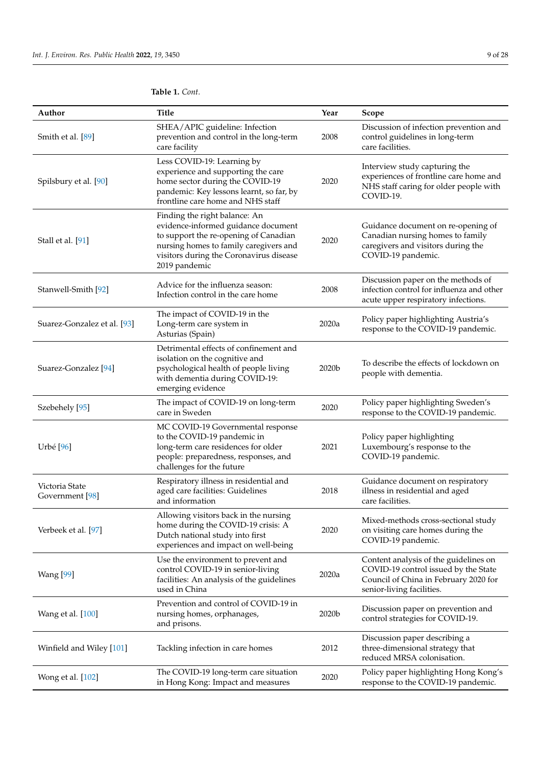| Author                            | <b>Title</b>                                                                                                                                                                                                        | Year  | Scope                                                                                                                                               |
|-----------------------------------|---------------------------------------------------------------------------------------------------------------------------------------------------------------------------------------------------------------------|-------|-----------------------------------------------------------------------------------------------------------------------------------------------------|
| Smith et al. [89]                 | SHEA/APIC guideline: Infection<br>prevention and control in the long-term<br>care facility                                                                                                                          | 2008  | Discussion of infection prevention and<br>control guidelines in long-term<br>care facilities.                                                       |
| Spilsbury et al. [90]             | Less COVID-19: Learning by<br>experience and supporting the care<br>home sector during the COVID-19<br>pandemic: Key lessons learnt, so far, by<br>frontline care home and NHS staff                                | 2020  | Interview study capturing the<br>experiences of frontline care home and<br>NHS staff caring for older people with<br>COVID-19.                      |
| Stall et al. [91]                 | Finding the right balance: An<br>evidence-informed guidance document<br>to support the re-opening of Canadian<br>nursing homes to family caregivers and<br>visitors during the Coronavirus disease<br>2019 pandemic | 2020  | Guidance document on re-opening of<br>Canadian nursing homes to family<br>caregivers and visitors during the<br>COVID-19 pandemic.                  |
| Stanwell-Smith [92]               | Advice for the influenza season:<br>Infection control in the care home                                                                                                                                              | 2008  | Discussion paper on the methods of<br>infection control for influenza and other<br>acute upper respiratory infections.                              |
| Suarez-Gonzalez et al. [93]       | The impact of COVID-19 in the<br>Long-term care system in<br>Asturias (Spain)                                                                                                                                       | 2020a | Policy paper highlighting Austria's<br>response to the COVID-19 pandemic.                                                                           |
| Suarez-Gonzalez [94]              | Detrimental effects of confinement and<br>isolation on the cognitive and<br>psychological health of people living<br>with dementia during COVID-19:<br>emerging evidence                                            | 2020b | To describe the effects of lockdown on<br>people with dementia.                                                                                     |
| Szebehely <sup>[95]</sup>         | The impact of COVID-19 on long-term<br>care in Sweden                                                                                                                                                               | 2020  | Policy paper highlighting Sweden's<br>response to the COVID-19 pandemic.                                                                            |
| Urbé [96]                         | MC COVID-19 Governmental response<br>to the COVID-19 pandemic in<br>long-term care residences for older<br>people: preparedness, responses, and<br>challenges for the future                                        | 2021  | Policy paper highlighting<br>Luxembourg's response to the<br>COVID-19 pandemic.                                                                     |
| Victoria State<br>Government [98] | Respiratory illness in residential and<br>aged care facilities: Guidelines<br>and information                                                                                                                       | 2018  | Guidance document on respiratory<br>illness in residential and aged<br>care facilities.                                                             |
| Verbeek et al. [97]               | Allowing visitors back in the nursing<br>home during the COVID-19 crisis: A<br>Dutch national study into first<br>experiences and impact on well-being                                                              | 2020  | Mixed-methods cross-sectional study<br>on visiting care homes during the<br>COVID-19 pandemic.                                                      |
| <b>Wang</b> [99]                  | Use the environment to prevent and<br>control COVID-19 in senior-living<br>facilities: An analysis of the guidelines<br>used in China                                                                               | 2020a | Content analysis of the guidelines on<br>COVID-19 control issued by the State<br>Council of China in February 2020 for<br>senior-living facilities. |
| Wang et al. [100]                 | Prevention and control of COVID-19 in<br>nursing homes, orphanages,<br>and prisons.                                                                                                                                 | 2020b | Discussion paper on prevention and<br>control strategies for COVID-19.                                                                              |
| Winfield and Wiley [101]          | Tackling infection in care homes                                                                                                                                                                                    | 2012  | Discussion paper describing a<br>three-dimensional strategy that<br>reduced MRSA colonisation.                                                      |
| Wong et al. [102]                 | The COVID-19 long-term care situation<br>in Hong Kong: Impact and measures                                                                                                                                          | 2020  | Policy paper highlighting Hong Kong's<br>response to the COVID-19 pandemic.                                                                         |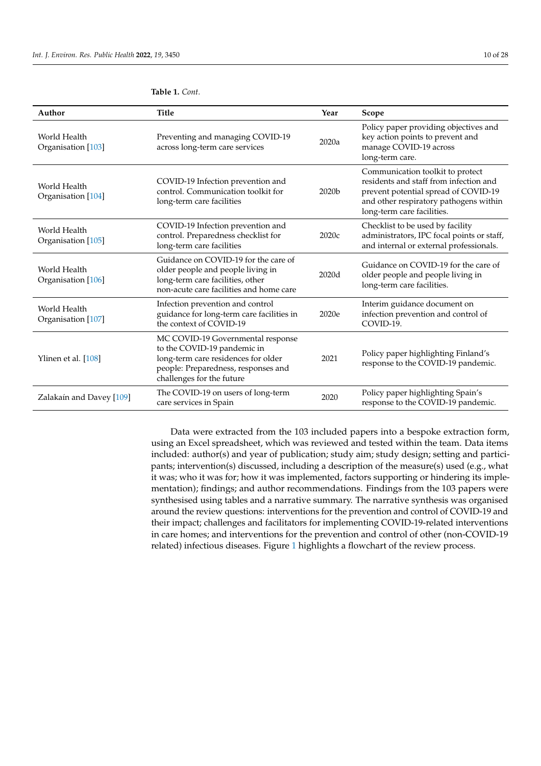| Author                             | <b>Title</b>                                                                                                                                                                | Year  | Scope                                                                                                                                                                                      |
|------------------------------------|-----------------------------------------------------------------------------------------------------------------------------------------------------------------------------|-------|--------------------------------------------------------------------------------------------------------------------------------------------------------------------------------------------|
| World Health<br>Organisation [103] | Preventing and managing COVID-19<br>across long-term care services                                                                                                          | 2020a | Policy paper providing objectives and<br>key action points to prevent and<br>manage COVID-19 across<br>long-term care.                                                                     |
| World Health<br>Organisation [104] | COVID-19 Infection prevention and<br>control. Communication toolkit for<br>long-term care facilities                                                                        | 2020b | Communication toolkit to protect<br>residents and staff from infection and<br>prevent potential spread of COVID-19<br>and other respiratory pathogens within<br>long-term care facilities. |
| World Health<br>Organisation [105] | COVID-19 Infection prevention and<br>control. Preparedness checklist for<br>long-term care facilities                                                                       | 2020c | Checklist to be used by facility<br>administrators, IPC focal points or staff,<br>and internal or external professionals.                                                                  |
| World Health<br>Organisation [106] | Guidance on COVID-19 for the care of<br>older people and people living in<br>long-term care facilities, other<br>non-acute care facilities and home care                    | 2020d | Guidance on COVID-19 for the care of<br>older people and people living in<br>long-term care facilities.                                                                                    |
| World Health<br>Organisation [107] | Infection prevention and control<br>guidance for long-term care facilities in<br>the context of COVID-19                                                                    | 2020e | Interim guidance document on<br>infection prevention and control of<br>COVID-19.                                                                                                           |
| Ylinen et al. [108]                | MC COVID-19 Governmental response<br>to the COVID-19 pandemic in<br>long-term care residences for older<br>people: Preparedness, responses and<br>challenges for the future | 2021  | Policy paper highlighting Finland's<br>response to the COVID-19 pandemic.                                                                                                                  |
| Zalakaín and Davey [109]           | The COVID-19 on users of long-term<br>care services in Spain                                                                                                                | 2020  | Policy paper highlighting Spain's<br>response to the COVID-19 pandemic.                                                                                                                    |

Data were extracted from the 103 included papers into a bespoke extraction form, using an Excel spreadsheet, which was reviewed and tested within the team. Data items included: author(s) and year of publication; study aim; study design; setting and participants; intervention(s) discussed, including a description of the measure(s) used (e.g., what it was; who it was for; how it was implemented, factors supporting or hindering its implementation); findings; and author recommendations. Findings from the 103 papers were synthesised using tables and a narrative summary. The narrative synthesis was organised around the review questions: interventions for the prevention and control of COVID-19 and their impact; challenges and facilitators for implementing COVID-19-related interventions in care homes; and interventions for the prevention and control of other (non-COVID-19 related) infectious diseases. Figure 1 highlights a flowchart of the review process.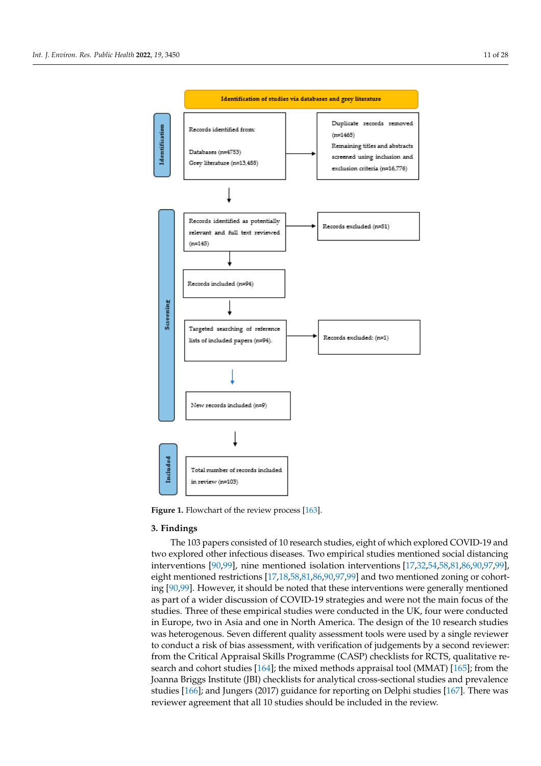

**Figure 1.** Flowchart of the review process [163]. **Figure 1.** Flowchart of the review process [163].

## **3. Findings**

**Table 1.** Overview of the 103 papers included in the rapid review. two explored other infectious diseases. Two empirical studies mentioned social distancing interventions [90,99], nine mentioned isolation interventions [17,32,54,58,81,86,90,97,99], eight mentioned restrictions [17,18,58,81,86,90,97,99] and two mentioned zoning or cohorteight mentioned restrictions [17,18,58,81,86,90,97,99] and two mentioned zoning or cohorting [90,99]. However, it should be noted that these interventions were generally mentioned as part of a wider discussion of COVID-19 strategies and were not the main focus of the studies. Three of these empirical studies were conducted in the UK, four were conducted in Europe, two in Asia and one in North America. The design of the 10 research studies was heterogenous. Seven different quality assessment tools were used by a single reviewer<br>to conduct a right of high assessment with writination of independents by a second reviewer not nettrogenous. Seven unferin quanty assessment to the Nettrogen of judgements by a safety reviewer: from the Critical Appraisal Skills Programme (CASP) checklists for RCTS, qualitative research and cohort studies [164]; the mixed methods appraisal tool (MMAT)  $\left[165\right]$ ; from the search and cohort studies [164]; the mixed methods appraisal tool (MMA1) [165]; from the Joanna Briggs Institute (JBI) checklists for analytical cross-sectional studies and prevalence studies [166]; and Jungers (2017) guidance for reporting on Delphi studies [167]. There was reviewer agreement that all 10 studies should be included in the review. The 103 papers consisted of 10 research studies, eight of which explored COVID-19 and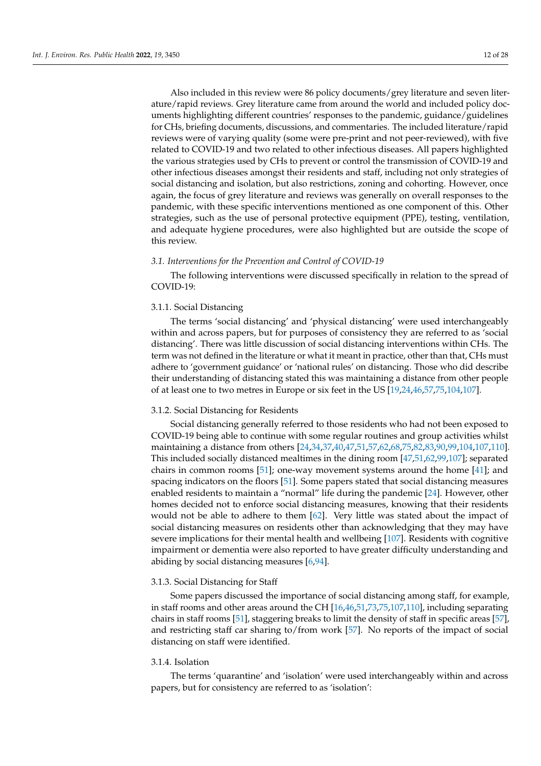Also included in this review were 86 policy documents/grey literature and seven literature/rapid reviews. Grey literature came from around the world and included policy documents highlighting different countries' responses to the pandemic, guidance/guidelines for CHs, briefing documents, discussions, and commentaries. The included literature/rapid reviews were of varying quality (some were pre-print and not peer-reviewed), with five related to COVID-19 and two related to other infectious diseases. All papers highlighted the various strategies used by CHs to prevent or control the transmission of COVID-19 and other infectious diseases amongst their residents and staff, including not only strategies of social distancing and isolation, but also restrictions, zoning and cohorting. However, once again, the focus of grey literature and reviews was generally on overall responses to the pandemic, with these specific interventions mentioned as one component of this. Other strategies, such as the use of personal protective equipment (PPE), testing, ventilation, and adequate hygiene procedures, were also highlighted but are outside the scope of this review.

#### *3.1. Interventions for the Prevention and Control of COVID-19*

The following interventions were discussed specifically in relation to the spread of COVID-19:

## 3.1.1. Social Distancing

The terms 'social distancing' and 'physical distancing' were used interchangeably within and across papers, but for purposes of consistency they are referred to as 'social distancing'. There was little discussion of social distancing interventions within CHs. The term was not defined in the literature or what it meant in practice, other than that, CHs must adhere to 'government guidance' or 'national rules' on distancing. Those who did describe their understanding of distancing stated this was maintaining a distance from other people of at least one to two metres in Europe or six feet in the US [19,24,46,57,75,104,107].

#### 3.1.2. Social Distancing for Residents

Social distancing generally referred to those residents who had not been exposed to COVID-19 being able to continue with some regular routines and group activities whilst maintaining a distance from others [24,34,37,40,47,51,57,62,68,75,82,83,90,99,104,107,110]. This included socially distanced mealtimes in the dining room [47,51,62,99,107]; separated chairs in common rooms [51]; one-way movement systems around the home [41]; and spacing indicators on the floors [51]. Some papers stated that social distancing measures enabled residents to maintain a "normal" life during the pandemic [24]. However, other homes decided not to enforce social distancing measures, knowing that their residents would not be able to adhere to them [62]. Very little was stated about the impact of social distancing measures on residents other than acknowledging that they may have severe implications for their mental health and wellbeing [107]. Residents with cognitive impairment or dementia were also reported to have greater difficulty understanding and abiding by social distancing measures [6,94].

## 3.1.3. Social Distancing for Staff

Some papers discussed the importance of social distancing among staff, for example, in staff rooms and other areas around the CH [16,46,51,73,75,107,110], including separating chairs in staff rooms [51], staggering breaks to limit the density of staff in specific areas [57], and restricting staff car sharing to/from work [57]. No reports of the impact of social distancing on staff were identified.

## 3.1.4. Isolation

The terms 'quarantine' and 'isolation' were used interchangeably within and across papers, but for consistency are referred to as 'isolation':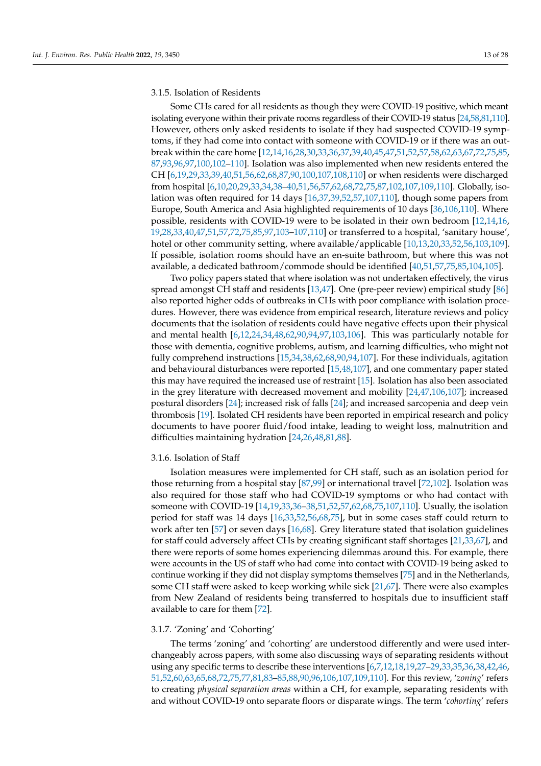## 3.1.5. Isolation of Residents

Some CHs cared for all residents as though they were COVID-19 positive, which meant isolating everyone within their private rooms regardless of their COVID-19 status [24,58,81,110]. However, others only asked residents to isolate if they had suspected COVID-19 symptoms, if they had come into contact with someone with COVID-19 or if there was an outbreak within the care home [12,14,16,28,30,33,36,37,39,40,45,47,51,52,57,58,62,63,67,72,75,85, 87,93,96,97,100,102–110]. Isolation was also implemented when new residents entered the CH [6,19,29,33,39,40,51,56,62,68,87,90,100,107,108,110] or when residents were discharged from hospital [6,10,20,29,33,34,38–40,51,56,57,62,68,72,75,87,102,107,109,110]. Globally, isolation was often required for 14 days [16,37,39,52,57,107,110], though some papers from Europe, South America and Asia highlighted requirements of 10 days [36,106,110]. Where possible, residents with COVID-19 were to be isolated in their own bedroom [12,14,16, 19,28,33,40,47,51,57,72,75,85,97,103–107,110] or transferred to a hospital, 'sanitary house', hotel or other community setting, where available/applicable [10,13,20,33,52,56,103,109]. If possible, isolation rooms should have an en-suite bathroom, but where this was not available, a dedicated bathroom/commode should be identified [40,51,57,75,85,104,105].

Two policy papers stated that where isolation was not undertaken effectively, the virus spread amongst CH staff and residents [13,47]. One (pre-peer review) empirical study [86] also reported higher odds of outbreaks in CHs with poor compliance with isolation procedures. However, there was evidence from empirical research, literature reviews and policy documents that the isolation of residents could have negative effects upon their physical and mental health [6,12,24,34,48,62,90,94,97,103,106]. This was particularly notable for those with dementia, cognitive problems, autism, and learning difficulties, who might not fully comprehend instructions [15,34,38,62,68,90,94,107]. For these individuals, agitation and behavioural disturbances were reported [15,48,107], and one commentary paper stated this may have required the increased use of restraint [15]. Isolation has also been associated in the grey literature with decreased movement and mobility [24,47,106,107]; increased postural disorders [24]; increased risk of falls [24]; and increased sarcopenia and deep vein thrombosis [19]. Isolated CH residents have been reported in empirical research and policy documents to have poorer fluid/food intake, leading to weight loss, malnutrition and difficulties maintaining hydration [24,26,48,81,88].

#### 3.1.6. Isolation of Staff

Isolation measures were implemented for CH staff, such as an isolation period for those returning from a hospital stay [87,99] or international travel [72,102]. Isolation was also required for those staff who had COVID-19 symptoms or who had contact with someone with COVID-19 [14,19,33,36–38,51,52,57,62,68,75,107,110]. Usually, the isolation period for staff was 14 days [16,33,52,56,68,75], but in some cases staff could return to work after ten [57] or seven days [16,68]. Grey literature stated that isolation guidelines for staff could adversely affect CHs by creating significant staff shortages [21,33,67], and there were reports of some homes experiencing dilemmas around this. For example, there were accounts in the US of staff who had come into contact with COVID-19 being asked to continue working if they did not display symptoms themselves [75] and in the Netherlands, some CH staff were asked to keep working while sick [21,67]. There were also examples from New Zealand of residents being transferred to hospitals due to insufficient staff available to care for them [72].

#### 3.1.7. 'Zoning' and 'Cohorting'

The terms 'zoning' and 'cohorting' are understood differently and were used interchangeably across papers, with some also discussing ways of separating residents without using any specific terms to describe these interventions [6,7,12,18,19,27–29,33,35,36,38,42,46, 51,52,60,63,65,68,72,75,77,81,83–85,88,90,96,106,107,109,110]. For this review, '*zoning*' refers to creating *physical separation areas* within a CH, for example, separating residents with and without COVID-19 onto separate floors or disparate wings. The term '*cohorting*' refers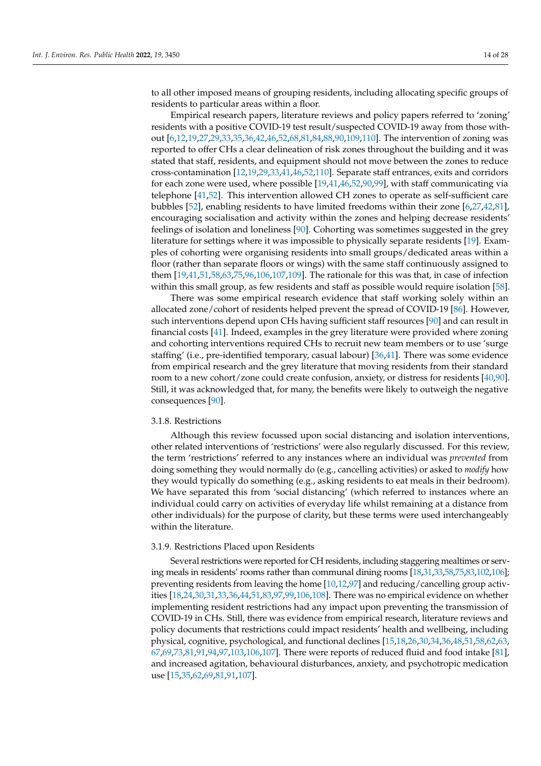to all other imposed means of grouping residents, including allocating specific groups of residents to particular areas within a floor.

Empirical research papers, literature reviews and policy papers referred to 'zoning' residents with a positive COVID-19 test result/suspected COVID-19 away from those without [6,12,19,27,29,33,35,36,42,46,52,68,81,84,88,90,109,110]. The intervention of zoning was reported to offer CHs a clear delineation of risk zones throughout the building and it was stated that staff, residents, and equipment should not move between the zones to reduce cross-contamination [12,19,29,33,41,46,52,110]. Separate staff entrances, exits and corridors for each zone were used, where possible [19,41,46,52,90,99], with staff communicating via telephone [41,52]. This intervention allowed CH zones to operate as self-sufficient care bubbles [52], enabling residents to have limited freedoms within their zone [6,27,42,81], encouraging socialisation and activity within the zones and helping decrease residents' feelings of isolation and loneliness [90]. Cohorting was sometimes suggested in the grey literature for settings where it was impossible to physically separate residents [19]. Examples of cohorting were organising residents into small groups/dedicated areas within a floor (rather than separate floors or wings) with the same staff continuously assigned to them [19,41,51,58,63,75,96,106,107,109]. The rationale for this was that, in case of infection within this small group, as few residents and staff as possible would require isolation [58].

There was some empirical research evidence that staff working solely within an allocated zone/cohort of residents helped prevent the spread of COVID-19 [86]. However, such interventions depend upon CHs having sufficient staff resources [90] and can result in financial costs [41]. Indeed, examples in the grey literature were provided where zoning and cohorting interventions required CHs to recruit new team members or to use 'surge staffing' (i.e., pre-identified temporary, casual labour) [36,41]. There was some evidence from empirical research and the grey literature that moving residents from their standard room to a new cohort/zone could create confusion, anxiety, or distress for residents [40,90]. Still, it was acknowledged that, for many, the benefits were likely to outweigh the negative consequences [90].

## 3.1.8. Restrictions

Although this review focussed upon social distancing and isolation interventions, other related interventions of 'restrictions' were also regularly discussed. For this review, the term 'restrictions' referred to any instances where an individual was *prevented* from doing something they would normally do (e.g., cancelling activities) or asked to *modify* how they would typically do something (e.g., asking residents to eat meals in their bedroom). We have separated this from 'social distancing' (which referred to instances where an individual could carry on activities of everyday life whilst remaining at a distance from other individuals) for the purpose of clarity, but these terms were used interchangeably within the literature.

## 3.1.9. Restrictions Placed upon Residents

Several restrictions were reported for CH residents, including staggering mealtimes or serving meals in residents' rooms rather than communal dining rooms [18,31,33,58,75,83,102,106]; preventing residents from leaving the home [10,12,97] and reducing/cancelling group activities [18,24,30,31,33,36,44,51,83,97,99,106,108]. There was no empirical evidence on whether implementing resident restrictions had any impact upon preventing the transmission of COVID-19 in CHs. Still, there was evidence from empirical research, literature reviews and policy documents that restrictions could impact residents' health and wellbeing, including physical, cognitive, psychological, and functional declines [15,18,26,30,34,36,48,51,58,62,63, 67,69,73,81,91,94,97,103,106,107]. There were reports of reduced fluid and food intake [81], and increased agitation, behavioural disturbances, anxiety, and psychotropic medication use [15,35,62,69,81,91,107].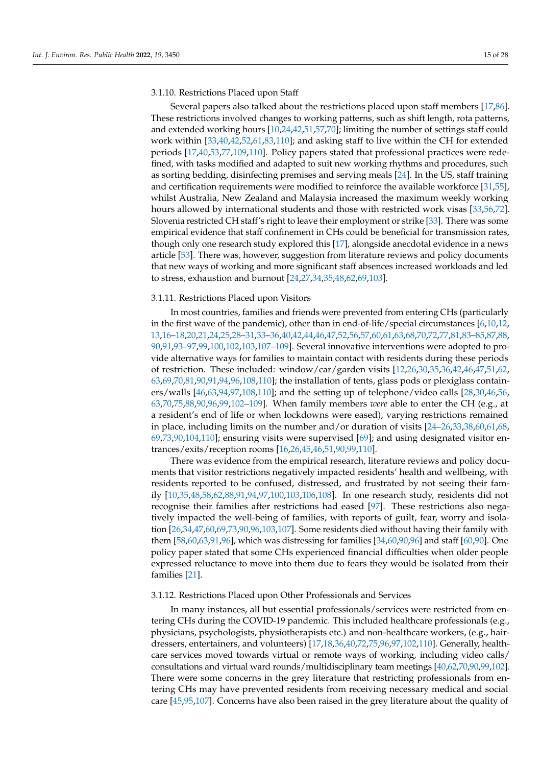#### 3.1.10. Restrictions Placed upon Staff

Several papers also talked about the restrictions placed upon staff members [17,86]. These restrictions involved changes to working patterns, such as shift length, rota patterns, and extended working hours [10,24,42,51,57,70]; limiting the number of settings staff could work within [33,40,42,52,61,83,110]; and asking staff to live within the CH for extended periods [17,40,53,77,109,110]. Policy papers stated that professional practices were redefined, with tasks modified and adapted to suit new working rhythms and procedures, such as sorting bedding, disinfecting premises and serving meals [24]. In the US, staff training and certification requirements were modified to reinforce the available workforce [31,55], whilst Australia, New Zealand and Malaysia increased the maximum weekly working hours allowed by international students and those with restricted work visas [33,56,72]. Slovenia restricted CH staff's right to leave their employment or strike [33]. There was some empirical evidence that staff confinement in CHs could be beneficial for transmission rates, though only one research study explored this [17], alongside anecdotal evidence in a news article [53]. There was, however, suggestion from literature reviews and policy documents that new ways of working and more significant staff absences increased workloads and led to stress, exhaustion and burnout [24,27,34,35,48,62,69,103].

#### 3.1.11. Restrictions Placed upon Visitors

In most countries, families and friends were prevented from entering CHs (particularly in the first wave of the pandemic), other than in end-of-life/special circumstances  $[6,10,12,$ 13,16–18,20,21,24,25,28–31,33–36,40,42,44,46,47,52,56,57,60,61,63,68,70,72,77,81,83–85,87,88, 90,91,93–97,99,100,102,103,107–109]. Several innovative interventions were adopted to provide alternative ways for families to maintain contact with residents during these periods of restriction. These included: window/car/garden visits [12,26,30,35,36,42,46,47,51,62, 63,69,70,81,90,91,94,96,108,110]; the installation of tents, glass pods or plexiglass containers/walls [46,63,94,97,108,110]; and the setting up of telephone/video calls [28,30,46,56, 63,70,75,88,90,96,99,102–109]. When family members *were* able to enter the CH (e.g., at a resident's end of life or when lockdowns were eased), varying restrictions remained in place, including limits on the number and/or duration of visits [24–26,33,38,60,61,68, 69,73,90,104,110]; ensuring visits were supervised [69]; and using designated visitor entrances/exits/reception rooms [16,26,45,46,51,90,99,110].

There was evidence from the empirical research, literature reviews and policy documents that visitor restrictions negatively impacted residents' health and wellbeing, with residents reported to be confused, distressed, and frustrated by not seeing their family [10,35,48,58,62,88,91,94,97,100,103,106,108]. In one research study, residents did not recognise their families after restrictions had eased [97]. These restrictions also negatively impacted the well-being of families, with reports of guilt, fear, worry and isolation [26,34,47,60,69,73,90,96,103,107]. Some residents died without having their family with them [58,60,63,91,96], which was distressing for families [34,60,90,96] and staff [60,90]. One policy paper stated that some CHs experienced financial difficulties when older people expressed reluctance to move into them due to fears they would be isolated from their families [21].

#### 3.1.12. Restrictions Placed upon Other Professionals and Services

In many instances, all but essential professionals/services were restricted from entering CHs during the COVID-19 pandemic. This included healthcare professionals (e.g., physicians, psychologists, physiotherapists etc.) and non-healthcare workers, (e.g., hairdressers, entertainers, and volunteers) [17,18,36,40,72,75,96,97,102,110]. Generally, healthcare services moved towards virtual or remote ways of working, including video calls/ consultations and virtual ward rounds/multidisciplinary team meetings [40,62,70,90,99,102]. There were some concerns in the grey literature that restricting professionals from entering CHs may have prevented residents from receiving necessary medical and social care [45,95,107]. Concerns have also been raised in the grey literature about the quality of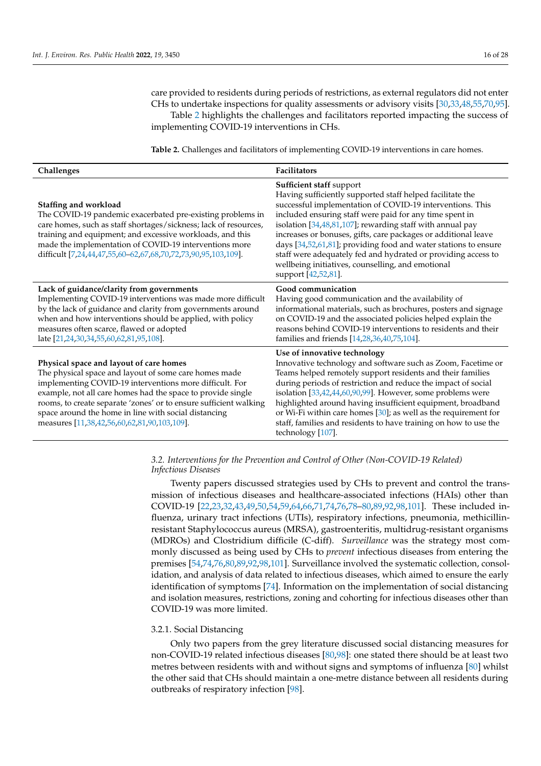care provided to residents during periods of restrictions, as external regulators did not enter CHs to undertake inspections for quality assessments or advisory visits [30,33,48,55,70,95]. Table 2 highlights the challenges and facilitators reported impacting the success of implementing COVID-19 interventions in CHs.

**Table 2.** Challenges and facilitators of implementing COVID-19 interventions in care homes.

| Challenges                                                                                                                                                                                                                                                                                                                                                                                             | <b>Facilitators</b>                                                                                                                                                                                                                                                                                                                                                                                                                                                                                                                                          |
|--------------------------------------------------------------------------------------------------------------------------------------------------------------------------------------------------------------------------------------------------------------------------------------------------------------------------------------------------------------------------------------------------------|--------------------------------------------------------------------------------------------------------------------------------------------------------------------------------------------------------------------------------------------------------------------------------------------------------------------------------------------------------------------------------------------------------------------------------------------------------------------------------------------------------------------------------------------------------------|
| Staffing and workload<br>The COVID-19 pandemic exacerbated pre-existing problems in<br>care homes, such as staff shortages/sickness; lack of resources,<br>training and equipment; and excessive workloads, and this<br>made the implementation of COVID-19 interventions more<br>difficult [7,24,44,47,55,60-62,67,68,70,72,73,90,95,103,109].                                                        | Sufficient staff support<br>Having sufficiently supported staff helped facilitate the<br>successful implementation of COVID-19 interventions. This<br>included ensuring staff were paid for any time spent in<br>isolation [34,48,81,107]; rewarding staff with annual pay<br>increases or bonuses, gifts, care packages or additional leave<br>days [34,52,61,81]; providing food and water stations to ensure<br>staff were adequately fed and hydrated or providing access to<br>wellbeing initiatives, counselling, and emotional<br>support [42,52,81]. |
| Lack of guidance/clarity from governments<br>Implementing COVID-19 interventions was made more difficult<br>by the lack of guidance and clarity from governments around<br>when and how interventions should be applied, with policy<br>measures often scarce, flawed or adopted<br>late [21,24,30,34,55,60,62,81,95,108].                                                                             | Good communication<br>Having good communication and the availability of<br>informational materials, such as brochures, posters and signage<br>on COVID-19 and the associated policies helped explain the<br>reasons behind COVID-19 interventions to residents and their<br>families and friends [14,28,36,40,75,104].                                                                                                                                                                                                                                       |
| Physical space and layout of care homes<br>The physical space and layout of some care homes made<br>implementing COVID-19 interventions more difficult. For<br>example, not all care homes had the space to provide single<br>rooms, to create separate 'zones' or to ensure sufficient walking<br>space around the home in line with social distancing<br>measures [11,38,42,56,60,62,81,90,103,109]. | Use of innovative technology<br>Innovative technology and software such as Zoom, Facetime or<br>Teams helped remotely support residents and their families<br>during periods of restriction and reduce the impact of social<br>isolation [33,42,44,60,90,99]. However, some problems were<br>highlighted around having insufficient equipment, broadband<br>or Wi-Fi within care homes $[30]$ ; as well as the requirement for<br>staff, families and residents to have training on how to use the<br>technology [107].                                      |

## *3.2. Interventions for the Prevention and Control of Other (Non-COVID-19 Related) Infectious Diseases*

Twenty papers discussed strategies used by CHs to prevent and control the transmission of infectious diseases and healthcare-associated infections (HAIs) other than COVID-19 [22,23,32,43,49,50,54,59,64,66,71,74,76,78–80,89,92,98,101]. These included influenza, urinary tract infections (UTIs), respiratory infections, pneumonia, methicillinresistant Staphylococcus aureus (MRSA), gastroenteritis, multidrug-resistant organisms (MDROs) and Clostridium difficile (C-diff). *Surveillance* was the strategy most commonly discussed as being used by CHs to *prevent* infectious diseases from entering the premises [54,74,76,80,89,92,98,101]. Surveillance involved the systematic collection, consolidation, and analysis of data related to infectious diseases, which aimed to ensure the early identification of symptoms [74]. Information on the implementation of social distancing and isolation measures, restrictions, zoning and cohorting for infectious diseases other than COVID-19 was more limited.

#### 3.2.1. Social Distancing

Only two papers from the grey literature discussed social distancing measures for non-COVID-19 related infectious diseases [80,98]: one stated there should be at least two metres between residents with and without signs and symptoms of influenza [80] whilst the other said that CHs should maintain a one-metre distance between all residents during outbreaks of respiratory infection [98].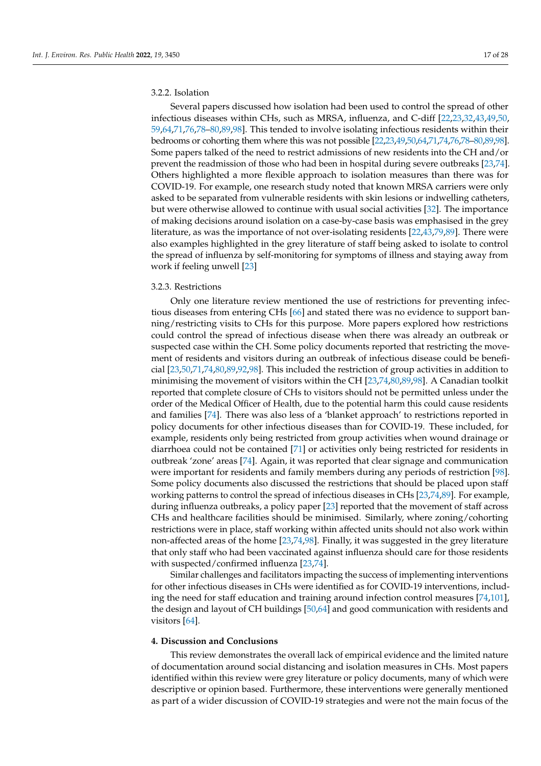## 3.2.2. Isolation

Several papers discussed how isolation had been used to control the spread of other infectious diseases within CHs, such as MRSA, influenza, and C-diff [22,23,32,43,49,50, 59,64,71,76,78–80,89,98]. This tended to involve isolating infectious residents within their bedrooms or cohorting them where this was not possible [22,23,49,50,64,71,74,76,78–80,89,98]. Some papers talked of the need to restrict admissions of new residents into the CH and/or prevent the readmission of those who had been in hospital during severe outbreaks [23,74]. Others highlighted a more flexible approach to isolation measures than there was for COVID-19. For example, one research study noted that known MRSA carriers were only asked to be separated from vulnerable residents with skin lesions or indwelling catheters, but were otherwise allowed to continue with usual social activities [32]. The importance of making decisions around isolation on a case-by-case basis was emphasised in the grey literature, as was the importance of not over-isolating residents [22,43,79,89]. There were also examples highlighted in the grey literature of staff being asked to isolate to control the spread of influenza by self-monitoring for symptoms of illness and staying away from work if feeling unwell [23]

## 3.2.3. Restrictions

Only one literature review mentioned the use of restrictions for preventing infectious diseases from entering CHs [66] and stated there was no evidence to support banning/restricting visits to CHs for this purpose. More papers explored how restrictions could control the spread of infectious disease when there was already an outbreak or suspected case within the CH. Some policy documents reported that restricting the movement of residents and visitors during an outbreak of infectious disease could be beneficial [23,50,71,74,80,89,92,98]. This included the restriction of group activities in addition to minimising the movement of visitors within the CH [23,74,80,89,98]. A Canadian toolkit reported that complete closure of CHs to visitors should not be permitted unless under the order of the Medical Officer of Health, due to the potential harm this could cause residents and families [74]. There was also less of a 'blanket approach' to restrictions reported in policy documents for other infectious diseases than for COVID-19. These included, for example, residents only being restricted from group activities when wound drainage or diarrhoea could not be contained [71] or activities only being restricted for residents in outbreak 'zone' areas [74]. Again, it was reported that clear signage and communication were important for residents and family members during any periods of restriction [98]. Some policy documents also discussed the restrictions that should be placed upon staff working patterns to control the spread of infectious diseases in CHs [23,74,89]. For example, during influenza outbreaks, a policy paper [23] reported that the movement of staff across CHs and healthcare facilities should be minimised. Similarly, where zoning/cohorting restrictions were in place, staff working within affected units should not also work within non-affected areas of the home [23,74,98]. Finally, it was suggested in the grey literature that only staff who had been vaccinated against influenza should care for those residents with suspected/confirmed influenza [23,74].

Similar challenges and facilitators impacting the success of implementing interventions for other infectious diseases in CHs were identified as for COVID-19 interventions, including the need for staff education and training around infection control measures [74,101], the design and layout of CH buildings [50,64] and good communication with residents and visitors [64].

## **4. Discussion and Conclusions**

This review demonstrates the overall lack of empirical evidence and the limited nature of documentation around social distancing and isolation measures in CHs. Most papers identified within this review were grey literature or policy documents, many of which were descriptive or opinion based. Furthermore, these interventions were generally mentioned as part of a wider discussion of COVID-19 strategies and were not the main focus of the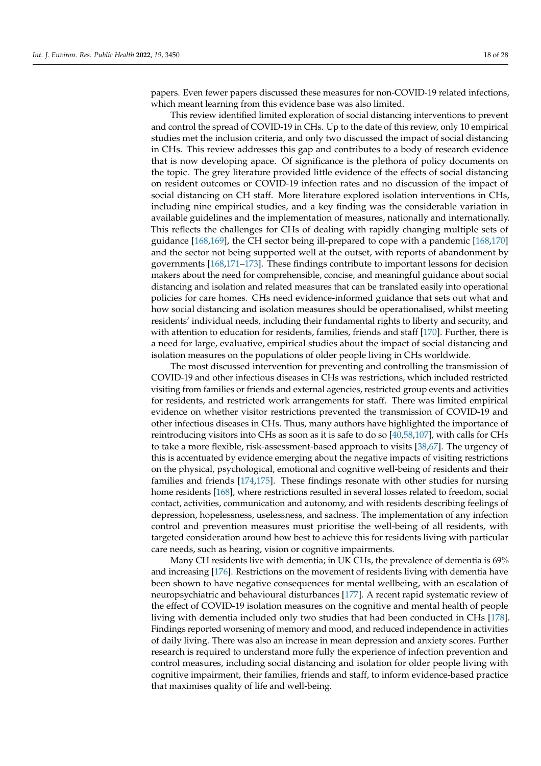papers. Even fewer papers discussed these measures for non-COVID-19 related infections, which meant learning from this evidence base was also limited.

This review identified limited exploration of social distancing interventions to prevent and control the spread of COVID-19 in CHs. Up to the date of this review, only 10 empirical studies met the inclusion criteria, and only two discussed the impact of social distancing in CHs. This review addresses this gap and contributes to a body of research evidence that is now developing apace. Of significance is the plethora of policy documents on the topic. The grey literature provided little evidence of the effects of social distancing on resident outcomes or COVID-19 infection rates and no discussion of the impact of social distancing on CH staff. More literature explored isolation interventions in CHs, including nine empirical studies, and a key finding was the considerable variation in available guidelines and the implementation of measures, nationally and internationally. This reflects the challenges for CHs of dealing with rapidly changing multiple sets of guidance [168,169], the CH sector being ill-prepared to cope with a pandemic [168,170] and the sector not being supported well at the outset, with reports of abandonment by governments [168,171–173]. These findings contribute to important lessons for decision makers about the need for comprehensible, concise, and meaningful guidance about social distancing and isolation and related measures that can be translated easily into operational policies for care homes. CHs need evidence-informed guidance that sets out what and how social distancing and isolation measures should be operationalised, whilst meeting residents' individual needs, including their fundamental rights to liberty and security, and with attention to education for residents, families, friends and staff [170]. Further, there is a need for large, evaluative, empirical studies about the impact of social distancing and isolation measures on the populations of older people living in CHs worldwide.

The most discussed intervention for preventing and controlling the transmission of COVID-19 and other infectious diseases in CHs was restrictions, which included restricted visiting from families or friends and external agencies, restricted group events and activities for residents, and restricted work arrangements for staff. There was limited empirical evidence on whether visitor restrictions prevented the transmission of COVID-19 and other infectious diseases in CHs. Thus, many authors have highlighted the importance of reintroducing visitors into CHs as soon as it is safe to do so [40,58,107], with calls for CHs to take a more flexible, risk-assessment-based approach to visits [38,67]. The urgency of this is accentuated by evidence emerging about the negative impacts of visiting restrictions on the physical, psychological, emotional and cognitive well-being of residents and their families and friends [174,175]. These findings resonate with other studies for nursing home residents [168], where restrictions resulted in several losses related to freedom, social contact, activities, communication and autonomy, and with residents describing feelings of depression, hopelessness, uselessness, and sadness. The implementation of any infection control and prevention measures must prioritise the well-being of all residents, with targeted consideration around how best to achieve this for residents living with particular care needs, such as hearing, vision or cognitive impairments.

Many CH residents live with dementia; in UK CHs, the prevalence of dementia is 69% and increasing [176]. Restrictions on the movement of residents living with dementia have been shown to have negative consequences for mental wellbeing, with an escalation of neuropsychiatric and behavioural disturbances [177]. A recent rapid systematic review of the effect of COVID-19 isolation measures on the cognitive and mental health of people living with dementia included only two studies that had been conducted in CHs [178]. Findings reported worsening of memory and mood, and reduced independence in activities of daily living. There was also an increase in mean depression and anxiety scores. Further research is required to understand more fully the experience of infection prevention and control measures, including social distancing and isolation for older people living with cognitive impairment, their families, friends and staff, to inform evidence-based practice that maximises quality of life and well-being.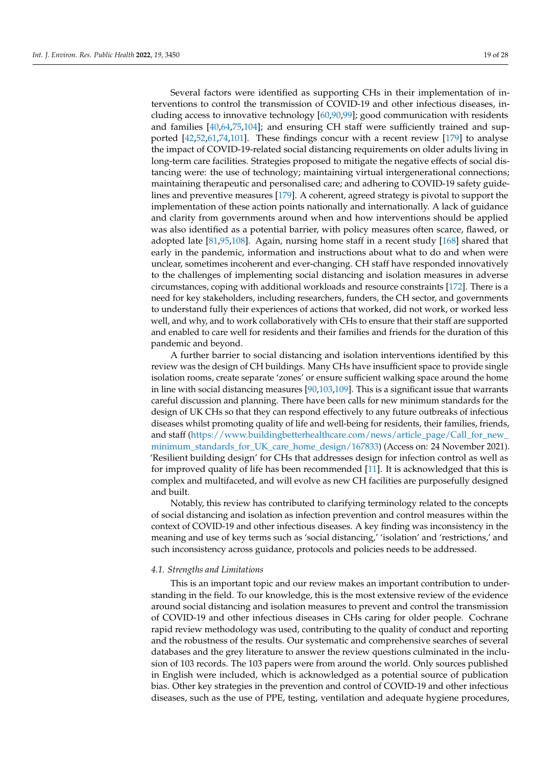Several factors were identified as supporting CHs in their implementation of interventions to control the transmission of COVID-19 and other infectious diseases, including access to innovative technology [60,90,99]; good communication with residents and families [40,64,75,104]; and ensuring CH staff were sufficiently trained and supported [42,52,61,74,101]. These findings concur with a recent review [179] to analyse the impact of COVID-19-related social distancing requirements on older adults living in long-term care facilities. Strategies proposed to mitigate the negative effects of social distancing were: the use of technology; maintaining virtual intergenerational connections; maintaining therapeutic and personalised care; and adhering to COVID-19 safety guidelines and preventive measures [179]. A coherent, agreed strategy is pivotal to support the implementation of these action points nationally and internationally. A lack of guidance and clarity from governments around when and how interventions should be applied was also identified as a potential barrier, with policy measures often scarce, flawed, or adopted late [81,95,108]. Again, nursing home staff in a recent study [168] shared that early in the pandemic, information and instructions about what to do and when were unclear, sometimes incoherent and ever-changing. CH staff have responded innovatively to the challenges of implementing social distancing and isolation measures in adverse circumstances, coping with additional workloads and resource constraints [172]. There is a need for key stakeholders, including researchers, funders, the CH sector, and governments to understand fully their experiences of actions that worked, did not work, or worked less well, and why, and to work collaboratively with CHs to ensure that their staff are supported and enabled to care well for residents and their families and friends for the duration of this pandemic and beyond.

A further barrier to social distancing and isolation interventions identified by this review was the design of CH buildings. Many CHs have insufficient space to provide single isolation rooms, create separate 'zones' or ensure sufficient walking space around the home in line with social distancing measures [90,103,109]. This is a significant issue that warrants careful discussion and planning. There have been calls for new minimum standards for the design of UK CHs so that they can respond effectively to any future outbreaks of infectious diseases whilst promoting quality of life and well-being for residents, their families, friends, and staff (https://www.buildingbetterhealthcare.com/news/article\_page/Call\_for\_new\_ minimum\_standards\_for\_UK\_care\_home\_design/167833) (Access on: 24 November 2021). 'Resilient building design' for CHs that addresses design for infection control as well as for improved quality of life has been recommended [11]. It is acknowledged that this is complex and multifaceted, and will evolve as new CH facilities are purposefully designed and built.

Notably, this review has contributed to clarifying terminology related to the concepts of social distancing and isolation as infection prevention and control measures within the context of COVID-19 and other infectious diseases. A key finding was inconsistency in the meaning and use of key terms such as 'social distancing,' 'isolation' and 'restrictions,' and such inconsistency across guidance, protocols and policies needs to be addressed.

### *4.1. Strengths and Limitations*

This is an important topic and our review makes an important contribution to understanding in the field. To our knowledge, this is the most extensive review of the evidence around social distancing and isolation measures to prevent and control the transmission of COVID-19 and other infectious diseases in CHs caring for older people. Cochrane rapid review methodology was used, contributing to the quality of conduct and reporting and the robustness of the results. Our systematic and comprehensive searches of several databases and the grey literature to answer the review questions culminated in the inclusion of 103 records. The 103 papers were from around the world. Only sources published in English were included, which is acknowledged as a potential source of publication bias. Other key strategies in the prevention and control of COVID-19 and other infectious diseases, such as the use of PPE, testing, ventilation and adequate hygiene procedures,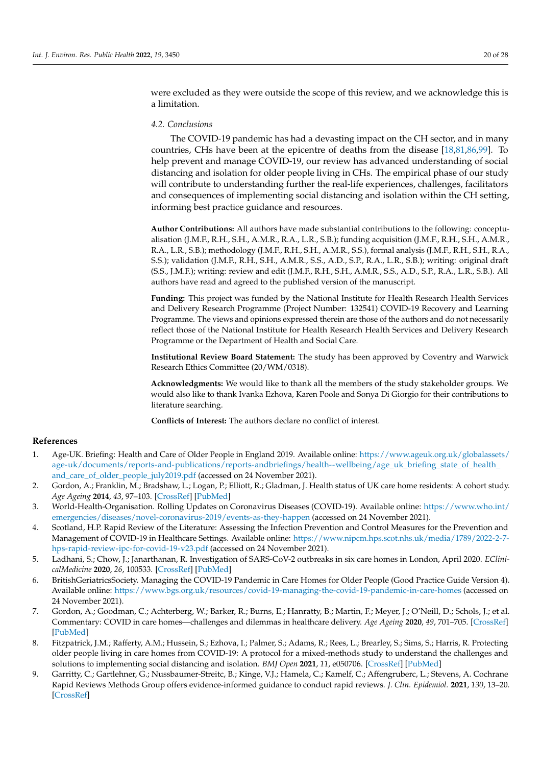were excluded as they were outside the scope of this review, and we acknowledge this is a limitation.

## *4.2. Conclusions*

The COVID-19 pandemic has had a devasting impact on the CH sector, and in many countries, CHs have been at the epicentre of deaths from the disease [18,81,86,99]. To help prevent and manage COVID-19, our review has advanced understanding of social distancing and isolation for older people living in CHs. The empirical phase of our study will contribute to understanding further the real-life experiences, challenges, facilitators and consequences of implementing social distancing and isolation within the CH setting, informing best practice guidance and resources.

**Author Contributions:** All authors have made substantial contributions to the following: conceptualisation (J.M.F., R.H., S.H., A.M.R., R.A., L.R., S.B.); funding acquisition (J.M.F., R.H., S.H., A.M.R., R.A., L.R., S.B.); methodology (J.M.F., R.H., S.H., A.M.R., S.S.), formal analysis (J.M.F., R.H., S.H., R.A., S.S.); validation (J.M.F., R.H., S.H., A.M.R., S.S., A.D., S.P., R.A., L.R., S.B.); writing: original draft (S.S., J.M.F.); writing: review and edit (J.M.F., R.H., S.H., A.M.R., S.S., A.D., S.P., R.A., L.R., S.B.). All authors have read and agreed to the published version of the manuscript.

**Funding:** This project was funded by the National Institute for Health Research Health Services and Delivery Research Programme (Project Number: 132541) COVID-19 Recovery and Learning Programme. The views and opinions expressed therein are those of the authors and do not necessarily reflect those of the National Institute for Health Research Health Services and Delivery Research Programme or the Department of Health and Social Care.

**Institutional Review Board Statement:** The study has been approved by Coventry and Warwick Research Ethics Committee (20/WM/0318).

**Acknowledgments:** We would like to thank all the members of the study stakeholder groups. We would also like to thank Ivanka Ezhova, Karen Poole and Sonya Di Giorgio for their contributions to literature searching.

**Conflicts of Interest:** The authors declare no conflict of interest.

## **References**

- 1. Age-UK. Briefing: Health and Care of Older People in England 2019. Available online: https://www.ageuk.org.uk/globalassets/ age-uk/documents/reports-and-publications/reports-andbriefings/health--wellbeing/age\_uk\_briefing\_state\_of\_health\_ and\_care\_of\_older\_people\_july2019.pdf (accessed on 24 November 2021).
- 2. Gordon, A.; Franklin, M.; Bradshaw, L.; Logan, P.; Elliott, R.; Gladman, J. Health status of UK care home residents: A cohort study. *Age Ageing* **2014**, *43*, 97–103. [CrossRef] [PubMed]
- 3. World-Health-Organisation. Rolling Updates on Coronavirus Diseases (COVID-19). Available online: https://www.who.int/ emergencies/diseases/novel-coronavirus-2019/events-as-they-happen (accessed on 24 November 2021).
- 4. Scotland, H.P. Rapid Review of the Literature: Assessing the Infection Prevention and Control Measures for the Prevention and Management of COVID-19 in Healthcare Settings. Available online: https://www.nipcm.hps.scot.nhs.uk/media/1789/2022-2-7 hps-rapid-review-ipc-for-covid-19-v23.pdf (accessed on 24 November 2021).
- 5. Ladhani, S.; Chow, J.; Janarthanan, R. Investigation of SARS-CoV-2 outbreaks in six care homes in London, April 2020. *EClinicalMedicine* **2020**, *26*, 100533. [CrossRef] [PubMed]
- 6. BritishGeriatricsSociety. Managing the COVID-19 Pandemic in Care Homes for Older People (Good Practice Guide Version 4). Available online: https://www.bgs.org.uk/resources/covid-19-managing-the-covid-19-pandemic-in-care-homes (accessed on 24 November 2021).
- 7. Gordon, A.; Goodman, C.; Achterberg, W.; Barker, R.; Burns, E.; Hanratty, B.; Martin, F.; Meyer, J.; O'Neill, D.; Schols, J.; et al. Commentary: COVID in care homes—challenges and dilemmas in healthcare delivery. *Age Ageing* **2020**, *49*, 701–705. [CrossRef] [PubMed]
- 8. Fitzpatrick, J.M.; Rafferty, A.M.; Hussein, S.; Ezhova, I.; Palmer, S.; Adams, R.; Rees, L.; Brearley, S.; Sims, S.; Harris, R. Protecting older people living in care homes from COVID-19: A protocol for a mixed-methods study to understand the challenges and solutions to implementing social distancing and isolation. *BMJ Open* **2021**, *11*, e050706. [CrossRef] [PubMed]
- 9. Garritty, C.; Gartlehner, G.; Nussbaumer-Streitc, B.; Kinge, V.J.; Hamela, C.; Kamelf, C.; Affengruberc, L.; Stevens, A. Cochrane Rapid Reviews Methods Group offers evidence-informed guidance to conduct rapid reviews. *J. Clin. Epidemiol.* **2021**, *130*, 13–20. [CrossRef]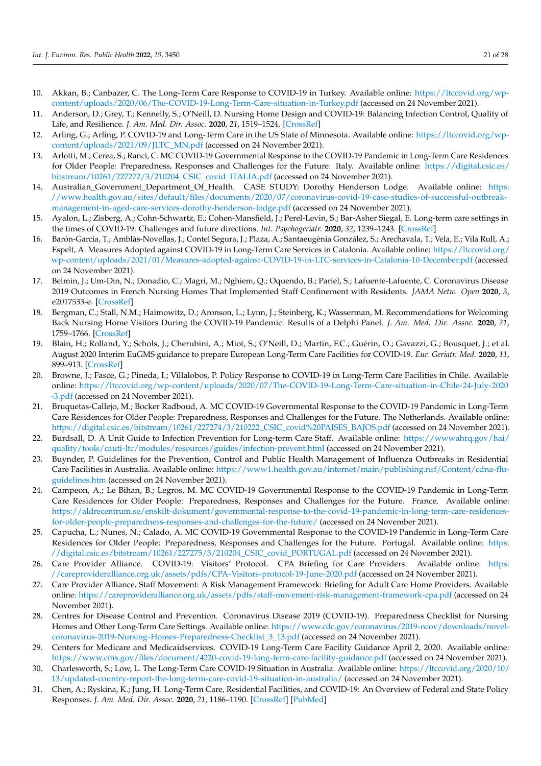- 10. Akkan, B.; Canbazer, C. The Long-Term Care Response to COVID-19 in Turkey. Available online: https://ltccovid.org/wpcontent/uploads/2020/06/The-COVID-19-Long-Term-Care-situation-in-Turkey.pdf (accessed on 24 November 2021).
- 11. Anderson, D.; Grey, T.; Kennelly, S.; O'Neill, D. Nursing Home Design and COVID-19: Balancing Infection Control, Quality of Life, and Resilience. *J. Am. Med. Dir. Assoc.* **2020**, *21*, 1519–1524. [CrossRef]
- 12. Arling, G.; Arling, P. COVID-19 and Long-Term Care in the US State of Minnesota. Available online: https://ltccovid.org/wpcontent/uploads/2021/09/JLTC\_MN.pdf (accessed on 24 November 2021).
- 13. Arlotti, M.; Cerea, S.; Ranci, C. MC COVID-19 Governmental Response to the COVID-19 Pandemic in Long-Term Care Residences for Older People: Preparedness, Responses and Challenges for the Future. Italy. Available online: https://digital.csic.es/ bitstream/10261/227272/3/210204\_CSIC\_covid\_ITALIA.pdf (accessed on 24 November 2021).
- 14. Australian\_Government\_Department\_Of\_Health. CASE STUDY: Dorothy Henderson Lodge. Available online: https: //www.health.gov.au/sites/default/files/documents/2020/07/coronavirus-covid-19-case-studies-of-successful-outbreakmanagement-in-aged-care-services-dorothy-henderson-lodge.pdf (accessed on 24 November 2021).
- 15. Ayalon, L.; Zisberg, A.; Cohn-Schwartz, E.; Cohen-Mansfield, J.; Perel-Levin, S.; Bar-Asher Siegal, E. Long-term care settings in the times of COVID-19: Challenges and future directions. *Int. Psychogeriatr.* **2020**, *32*, 1239–1243. [CrossRef]
- 16. Barón-Garcia, T.; Amblàs-Novellas, J.; Contel Segura, J.; Plaza, A.; Santaeugènia González, S.; Arechavala, T.; Vela, E.; Vila Rull, A.; Espelt, A. Measures Adopted against COVID-19 in Long-Term Care Services in Catalonia. Available online: https://ltccovid.org/ wp-content/uploads/2021/01/Measures-adopted-against-COVID-19-in-LTC-services-in-Catalonia-10-December.pdf (accessed on 24 November 2021).
- 17. Belmin, J.; Um-Din, N.; Donadio, C.; Magri, M.; Nghiem, Q.; Oquendo, B.; Pariel, S.; Lafuente-Lafuente, C. Coronavirus Disease 2019 Outcomes in French Nursing Homes That Implemented Staff Confinement with Residents. *JAMA Netw. Open* **2020**, *3*, e2017533-e. [CrossRef]
- 18. Bergman, C.; Stall, N.M.; Haimowitz, D.; Aronson, L.; Lynn, J.; Steinberg, K.; Wasserman, M. Recommendations for Welcoming Back Nursing Home Visitors During the COVID-19 Pandemic: Results of a Delphi Panel. *J. Am. Med. Dir. Assoc.* **2020**, *21*, 1759–1766. [CrossRef]
- 19. Blain, H.; Rolland, Y.; Schols, J.; Cherubini, A.; Miot, S.; O'Neill, D.; Martin, F.C.; Guérin, O.; Gavazzi, G.; Bousquet, J.; et al. August 2020 Interim EuGMS guidance to prepare European Long-Term Care Facilities for COVID-19. *Eur. Geriatr. Med.* **2020**, *11*, 899–913. [CrossRef]
- 20. Browne, J.; Fasce, G.; Pineda, I.; Villalobos, P. Policy Response to COVID-19 in Long-Term Care Facilities in Chile. Available online: https://ltccovid.org/wp-content/uploads/2020/07/The-COVID-19-Long-Term-Care-situation-in-Chile-24-July-2020 -3.pdf (accessed on 24 November 2021).
- 21. Bruquetas-Callejo, M.; Bocker Radboud, A. MC COVID-19 Governmental Response to the COVID-19 Pandemic in Long-Term Care Residences for Older People: Preparedness, Responses and Challenges for the Future. The Netherlands. Available online: https://digital.csic.es/bitstream/10261/227274/3/210222\_CSIC\_covid%20PAISES\_BAJOS.pdf (accessed on 24 November 2021).
- 22. Burdsall, D. A Unit Guide to Infection Prevention for Long-term Care Staff. Available online: https://wwwahrq.gov/hai/ quality/tools/cauti-ltc/modules/resources/guides/infection-prevent.html (accessed on 24 November 2021).
- 23. Buynder, P. Guidelines for the Prevention, Control and Public Health Management of Influenza Outbreaks in Residential Care Facilities in Australia. Available online: https://www1.health.gov.au/internet/main/publishing.nsf/Content/cdna-fluguidelines.htm (accessed on 24 November 2021).
- 24. Campeon, A.; Le Bihan, B.; Legros, M. MC COVID-19 Governmental Response to the COVID-19 Pandemic in Long-Term Care Residences for Older People: Preparedness, Responses and Challenges for the Future. France. Available online: https://aldrecentrum.se/enskilt-dokument/governmental-response-to-the-covid-19-pandemic-in-long-term-care-residencesfor-older-people-preparedness-responses-and-challenges-for-the-future/ (accessed on 24 November 2021).
- 25. Capucha, L.; Nunes, N.; Calado, A. MC COVID-19 Governmental Response to the COVID-19 Pandemic in Long-Term Care Residences for Older People: Preparedness, Responses and Challenges for the Future. Portugal. Available online: https: //digital.csic.es/bitstream/10261/227275/3/210204\_CSIC\_covid\_PORTUGAL.pdf (accessed on 24 November 2021).
- 26. Care Provider Alliance. COVID-19: Visitors' Protocol. CPA Briefing for Care Providers. Available online: https: //careprovideralliance.org.uk/assets/pdfs/CPA-Visitors-protocol-19-June-2020.pdf (accessed on 24 November 2021).
- 27. Care Provider Alliance. Staff Movement: A Risk Management Framework: Briefing for Adult Care Home Providers. Available online: https://careprovideralliance.org.uk/assets/pdfs/staff-movement-risk-management-framework-cpa.pdf (accessed on 24 November 2021).
- 28. Centres for Disease Control and Prevention. Coronavirus Disease 2019 (COVID-19). Preparedness Checklist for Nursing Homes and Other Long-Term Care Settings. Available online: https://www.cdc.gov/coronavirus/2019-ncov/downloads/novelcoronavirus-2019-Nursing-Homes-Preparedness-Checklist\_3\_13.pdf (accessed on 24 November 2021).
- 29. Centers for Medicare and Medicaidservices. COVID-19 Long-Term Care Facility Guidance April 2, 2020. Available online: https://www.cms.gov/files/document/4220-covid-19-long-term-care-facility-guidance.pdf (accessed on 24 November 2021).
- 30. Charlesworth, S.; Low, L. The Long-Term Care COVID-19 Situation in Australia. Available online: https://ltccovid.org/2020/10/ 13/updated-country-report-the-long-term-care-covid-19-situation-in-australia/ (accessed on 24 November 2021).
- 31. Chen, A.; Ryskina, K.; Jung, H. Long-Term Care, Residential Facilities, and COVID-19: An Overview of Federal and State Policy Responses. *J. Am. Med. Dir. Assoc.* **2020**, *21*, 1186–1190. [CrossRef] [PubMed]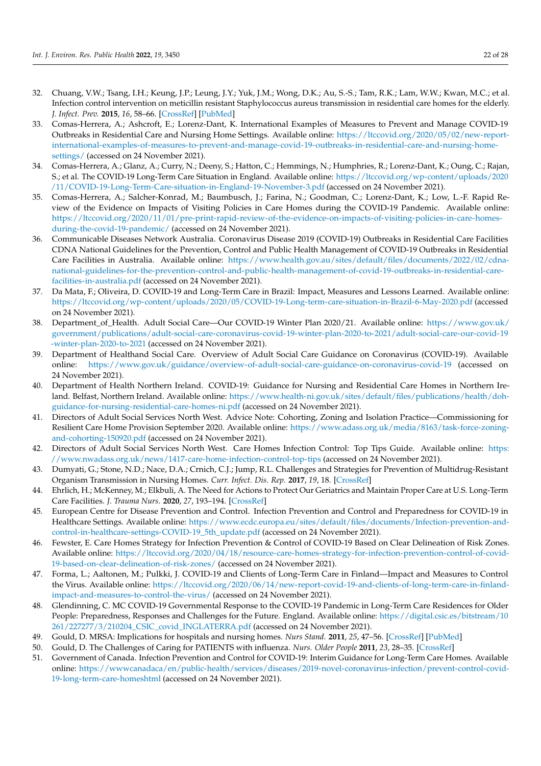- 32. Chuang, V.W.; Tsang, I.H.; Keung, J.P.; Leung, J.Y.; Yuk, J.M.; Wong, D.K.; Au, S.-S.; Tam, R.K.; Lam, W.W.; Kwan, M.C.; et al. Infection control intervention on meticillin resistant Staphylococcus aureus transmission in residential care homes for the elderly. *J. Infect. Prev.* **2015**, *16*, 58–66. [CrossRef] [PubMed]
- 33. Comas-Herrera, A.; Ashcroft, E.; Lorenz-Dant, K. International Examples of Measures to Prevent and Manage COVID-19 Outbreaks in Residential Care and Nursing Home Settings. Available online: https://ltccovid.org/2020/05/02/new-reportinternational-examples-of-measures-to-prevent-and-manage-covid-19-outbreaks-in-residential-care-and-nursing-homesettings/ (accessed on 24 November 2021).
- 34. Comas-Herrera, A.; Glanz, A.; Curry, N.; Deeny, S.; Hatton, C.; Hemmings, N.; Humphries, R.; Lorenz-Dant, K.; Oung, C.; Rajan, S.; et al. The COVID-19 Long-Term Care Situation in England. Available online: https://ltccovid.org/wp-content/uploads/2020 /11/COVID-19-Long-Term-Care-situation-in-England-19-November-3.pdf (accessed on 24 November 2021).
- 35. Comas-Herrera, A.; Salcher-Konrad, M.; Baumbusch, J.; Farina, N.; Goodman, C.; Lorenz-Dant, K.; Low, L.-F. Rapid Review of the Evidence on Impacts of Visiting Policies in Care Homes during the COVID-19 Pandemic. Available online: https://ltccovid.org/2020/11/01/pre-print-rapid-review-of-the-evidence-on-impacts-of-visiting-policies-in-care-homesduring-the-covid-19-pandemic/ (accessed on 24 November 2021).
- 36. Communicable Diseases Network Australia. Coronavirus Disease 2019 (COVID-19) Outbreaks in Residential Care Facilities CDNA National Guidelines for the Prevention, Control and Public Health Management of COVID-19 Outbreaks in Residential Care Facilities in Australia. Available online: https://www.health.gov.au/sites/default/files/documents/2022/02/cdnanational-guidelines-for-the-prevention-control-and-public-health-management-of-covid-19-outbreaks-in-residential-carefacilities-in-australia.pdf (accessed on 24 November 2021).
- 37. Da Mata, F.; Oliveira, D. COVID-19 and Long-Term Care in Brazil: Impact, Measures and Lessons Learned. Available online: https://ltccovid.org/wp-content/uploads/2020/05/COVID-19-Long-term-care-situation-in-Brazil-6-May-2020.pdf (accessed on 24 November 2021).
- 38. Department\_of\_Health. Adult Social Care—Our COVID-19 Winter Plan 2020/21. Available online: https://www.gov.uk/ government/publications/adult-social-care-coronavirus-covid-19-winter-plan-2020-to-2021/adult-social-care-our-covid-19 -winter-plan-2020-to-2021 (accessed on 24 November 2021).
- 39. Department of Healthand Social Care. Overview of Adult Social Care Guidance on Coronavirus (COVID-19). Available online: https://www.gov.uk/guidance/overview-of-adult-social-care-guidance-on-coronavirus-covid-19 (accessed on 24 November 2021).
- 40. Department of Health Northern Ireland. COVID-19: Guidance for Nursing and Residential Care Homes in Northern Ireland. Belfast, Northern Ireland. Available online: https://www.health-ni.gov.uk/sites/default/files/publications/health/dohguidance-for-nursing-residential-care-homes-ni.pdf (accessed on 24 November 2021).
- 41. Directors of Adult Social Services North West. Advice Note: Cohorting, Zoning and Isolation Practice—Commissioning for Resilient Care Home Provision September 2020. Available online: https://www.adass.org.uk/media/8163/task-force-zoningand-cohorting-150920.pdf (accessed on 24 November 2021).
- 42. Directors of Adult Social Services North West. Care Homes Infection Control: Top Tips Guide. Available online: https: //www.nwadass.org.uk/news/1417-care-home-infection-control-top-tips (accessed on 24 November 2021).
- 43. Dumyati, G.; Stone, N.D.; Nace, D.A.; Crnich, C.J.; Jump, R.L. Challenges and Strategies for Prevention of Multidrug-Resistant Organism Transmission in Nursing Homes. *Curr. Infect. Dis. Rep.* **2017**, *19*, 18. [CrossRef]
- 44. Ehrlich, H.; McKenney, M.; Elkbuli, A. The Need for Actions to Protect Our Geriatrics and Maintain Proper Care at U.S. Long-Term Care Facilities. *J. Trauma Nurs.* **2020**, *27*, 193–194. [CrossRef]
- 45. European Centre for Disease Prevention and Control. Infection Prevention and Control and Preparedness for COVID-19 in Healthcare Settings. Available online: https://www.ecdc.europa.eu/sites/default/files/documents/Infection-prevention-andcontrol-in-healthcare-settings-COVID-19\_5th\_update.pdf (accessed on 24 November 2021).
- 46. Fewster, E. Care Homes Strategy for Infection Prevention & Control of COVID-19 Based on Clear Delineation of Risk Zones. Available online: https://ltccovid.org/2020/04/18/resource-care-homes-strategy-for-infection-prevention-control-of-covid-19-based-on-clear-delineation-of-risk-zones/ (accessed on 24 November 2021).
- 47. Forma, L.; Aaltonen, M.; Pulkki, J. COVID-19 and Clients of Long-Term Care in Finland—Impact and Measures to Control the Virus. Available online: https://ltccovid.org/2020/06/14/new-report-covid-19-and-clients-of-long-term-care-in-finlandimpact-and-measures-to-control-the-virus/ (accessed on 24 November 2021).
- 48. Glendinning, C. MC COVID-19 Governmental Response to the COVID-19 Pandemic in Long-Term Care Residences for Older People: Preparedness, Responses and Challenges for the Future. England. Available online: https://digital.csic.es/bitstream/10 261/227277/3/210204\_CSIC\_covid\_INGLATERRA.pdf (accessed on 24 November 2021).
- 49. Gould, D. MRSA: Implications for hospitals and nursing homes. *Nurs Stand.* **2011**, *25*, 47–56. [CrossRef] [PubMed]
- 50. Gould, D. The Challenges of Caring for PATIENTS with influenza. *Nurs. Older People* **2011**, *23*, 28–35. [CrossRef]
- 51. Government of Canada. Infection Prevention and Control for COVID-19: Interim Guidance for Long-Term Care Homes. Available online: https://wwwcanadaca/en/public-health/services/diseases/2019-novel-coronavirus-infection/prevent-control-covid-19-long-term-care-homeshtml (accessed on 24 November 2021).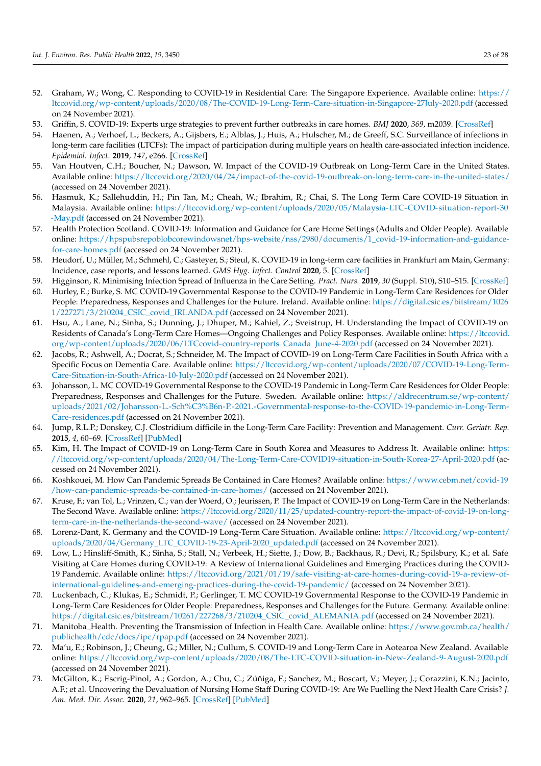- 52. Graham, W.; Wong, C. Responding to COVID-19 in Residential Care: The Singapore Experience. Available online: https:// ltccovid.org/wp-content/uploads/2020/08/The-COVID-19-Long-Term-Care-situation-in-Singapore-27July-2020.pdf (accessed on 24 November 2021).
- 53. Griffin, S. COVID-19: Experts urge strategies to prevent further outbreaks in care homes. *BMJ* **2020**, *369*, m2039. [CrossRef]
- 54. Haenen, A.; Verhoef, L.; Beckers, A.; Gijsbers, E.; Alblas, J.; Huis, A.; Hulscher, M.; de Greeff, S.C. Surveillance of infections in long-term care facilities (LTCFs): The impact of participation during multiple years on health care-associated infection incidence. *Epidemiol. Infect.* **2019**, *147*, e266. [CrossRef]
- 55. Van Houtven, C.H.; Boucher, N.; Dawson, W. Impact of the COVID-19 Outbreak on Long-Term Care in the United States. Available online: https://ltccovid.org/2020/04/24/impact-of-the-covid-19-outbreak-on-long-term-care-in-the-united-states/ (accessed on 24 November 2021).
- 56. Hasmuk, K.; Sallehuddin, H.; Pin Tan, M.; Cheah, W.; Ibrahim, R.; Chai, S. The Long Term Care COVID-19 Situation in Malaysia. Available online: https://ltccovid.org/wp-content/uploads/2020/05/Malaysia-LTC-COVID-situation-report-30 -May.pdf (accessed on 24 November 2021).
- 57. Health Protection Scotland. COVID-19: Information and Guidance for Care Home Settings (Adults and Older People). Available online: https://hpspubsrepoblobcorewindowsnet/hps-website/nss/2980/documents/1\_covid-19-information-and-guidancefor-care-homes.pdf (accessed on 24 November 2021).
- 58. Heudorf, U.; Müller, M.; Schmehl, C.; Gasteyer, S.; Steul, K. COVID-19 in long-term care facilities in Frankfurt am Main, Germany: Incidence, case reports, and lessons learned. *GMS Hyg. Infect. Control* **2020**, 5. [CrossRef]
- 59. Higginson, R. Minimising Infection Spread of Influenza in the Care Setting. *Pract. Nurs.* **2019**, *30* (Suppl. S10), S10–S15. [CrossRef]
- 60. Hurley, E.; Burke, S. MC COVID-19 Governmental Response to the COVID-19 Pandemic in Long-Term Care Residences for Older People: Preparedness, Responses and Challenges for the Future. Ireland. Available online: https://digital.csic.es/bitstream/1026 1/227271/3/210204\_CSIC\_covid\_IRLANDA.pdf (accessed on 24 November 2021).
- Hsu, A.; Lane, N.; Sinha, S.; Dunning, J.; Dhuper, M.; Kahiel, Z.; Sveistrup, H. Understanding the Impact of COVID-19 on Residents of Canada's Long-Term Care Homes—Ongoing Challenges and Policy Responses. Available online: https://ltccovid. org/wp-content/uploads/2020/06/LTCcovid-country-reports\_Canada\_June-4-2020.pdf (accessed on 24 November 2021).
- 62. Jacobs, R.; Ashwell, A.; Docrat, S.; Schneider, M. The Impact of COVID-19 on Long-Term Care Facilities in South Africa with a Specific Focus on Dementia Care. Available online: https://ltccovid.org/wp-content/uploads/2020/07/COVID-19-Long-Term-Care-Situation-in-South-Africa-10-July-2020.pdf (accessed on 24 November 2021).
- 63. Johansson, L. MC COVID-19 Governmental Response to the COVID-19 Pandemic in Long-Term Care Residences for Older People: Preparedness, Responses and Challenges for the Future. Sweden. Available online: https://aldrecentrum.se/wp-content/ uploads/2021/02/Johansson-L.-Sch%C3%B6n-P.-2021.-Governmental-response-to-the-COVID-19-pandemic-in-Long-Term-Care-residences.pdf (accessed on 24 November 2021).
- 64. Jump, R.L.P.; Donskey, C.J. Clostridium difficile in the Long-Term Care Facility: Prevention and Management. *Curr. Geriatr. Rep.* **2015**, *4*, 60–69. [CrossRef] [PubMed]
- 65. Kim, H. The Impact of COVID-19 on Long-Term Care in South Korea and Measures to Address It. Available online: https: //ltccovid.org/wp-content/uploads/2020/04/The-Long-Term-Care-COVID19-situation-in-South-Korea-27-April-2020.pdf (accessed on 24 November 2021).
- 66. Koshkouei, M. How Can Pandemic Spreads Be Contained in Care Homes? Available online: https://www.cebm.net/covid-19 /how-can-pandemic-spreads-be-contained-in-care-homes/ (accessed on 24 November 2021).
- 67. Kruse, F.; van Tol, L.; Vrinzen, C.; van der Woerd, O.; Jeurissen, P. The Impact of COVID-19 on Long-Term Care in the Netherlands: The Second Wave. Available online: https://ltccovid.org/2020/11/25/updated-country-report-the-impact-of-covid-19-on-longterm-care-in-the-netherlands-the-second-wave/ (accessed on 24 November 2021).
- 68. Lorenz-Dant, K. Germany and the COVID-19 Long-Term Care Situation. Available online: https://ltccovid.org/wp-content/ uploads/2020/04/Germany\_LTC\_COVID-19-23-April-2020\_updated.pdf (accessed on 24 November 2021).
- 69. Low, L.; Hinsliff-Smith, K.; Sinha, S.; Stall, N.; Verbeek, H.; Siette, J.; Dow, B.; Backhaus, R.; Devi, R.; Spilsbury, K.; et al. Safe Visiting at Care Homes during COVID-19: A Review of International Guidelines and Emerging Practices during the COVID-19 Pandemic. Available online: https://ltccovid.org/2021/01/19/safe-visiting-at-care-homes-during-covid-19-a-review-ofinternational-guidelines-and-emerging-practices-during-the-covid-19-pandemic/ (accessed on 24 November 2021).
- 70. Luckenbach, C.; Klukas, E.; Schmidt, P.; Gerlinger, T. MC COVID-19 Governmental Response to the COVID-19 Pandemic in Long-Term Care Residences for Older People: Preparedness, Responses and Challenges for the Future. Germany. Available online: https://digital.csic.es/bitstream/10261/227268/3/210204\_CSIC\_covid\_ALEMANIA.pdf (accessed on 24 November 2021).
- 71. Manitoba\_Health. Preventing the Transmission of Infection in Health Care. Available online: https://www.gov.mb.ca/health/ publichealth/cdc/docs/ipc/rpap.pdf (accessed on 24 November 2021).
- 72. Ma'u, E.; Robinson, J.; Cheung, G.; Miller, N.; Cullum, S. COVID-19 and Long-Term Care in Aotearoa New Zealand. Available online: https://ltccovid.org/wp-content/uploads/2020/08/The-LTC-COVID-situation-in-New-Zealand-9-August-2020.pdf (accessed on 24 November 2021).
- 73. McGilton, K.; Escrig-Pinol, A.; Gordon, A.; Chu, C.; Zúñiga, F.; Sanchez, M.; Boscart, V.; Meyer, J.; Corazzini, K.N.; Jacinto, A.F.; et al. Uncovering the Devaluation of Nursing Home Staff During COVID-19: Are We Fuelling the Next Health Care Crisis? *J. Am. Med. Dir. Assoc.* **2020**, *21*, 962–965. [CrossRef] [PubMed]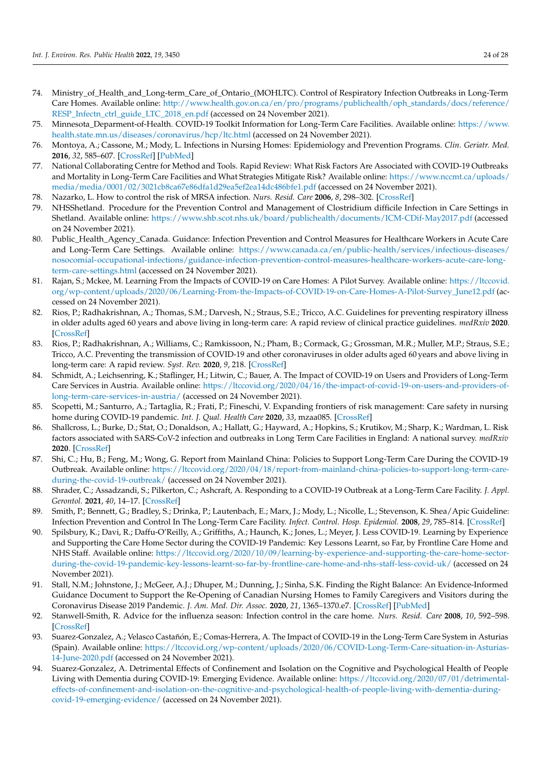- 74. Ministry\_of\_Health\_and\_Long-term\_Care\_of\_Ontario\_(MOHLTC). Control of Respiratory Infection Outbreaks in Long-Term Care Homes. Available online: http://www.health.gov.on.ca/en/pro/programs/publichealth/oph\_standards/docs/reference/ RESP\_Infectn\_ctrl\_guide\_LTC\_2018\_en.pdf (accessed on 24 November 2021).
- 75. Minnesota\_Deparment-of-Health. COVID-19 Toolkit Information for Long-Term Care Facilities. Available online: https://www. health.state.mn.us/diseases/coronavirus/hcp/ltc.html (accessed on 24 November 2021).
- 76. Montoya, A.; Cassone, M.; Mody, L. Infections in Nursing Homes: Epidemiology and Prevention Programs. *Clin. Geriatr. Med.* **2016**, *32*, 585–607. [CrossRef] [PubMed]
- 77. National Collaborating Centre for Method and Tools. Rapid Review: What Risk Factors Are Associated with COVID-19 Outbreaks and Mortality in Long-Term Care Facilities and What Strategies Mitigate Risk? Available online: https://www.nccmt.ca/uploads/ media/media/0001/02/3021cb8ca67e86dfa1d29ea5ef2ea14dc486bfe1.pdf (accessed on 24 November 2021).
- 78. Nazarko, L. How to control the risk of MRSA infection. *Nurs. Resid. Care* **2006**, *8*, 298–302. [CrossRef]
- 79. NHSShetland. Procedure for the Prevention Control and Management of Clostridium difficile Infection in Care Settings in Shetland. Available online: https://www.shb.scot.nhs.uk/board/publichealth/documents/ICM-CDif-May2017.pdf (accessed on 24 November 2021).
- 80. Public\_Health\_Agency\_Canada. Guidance: Infection Prevention and Control Measures for Healthcare Workers in Acute Care and Long-Term Care Settings. Available online: https://www.canada.ca/en/public-health/services/infectious-diseases/ nosocomial-occupational-infections/guidance-infection-prevention-control-measures-healthcare-workers-acute-care-longterm-care-settings.html (accessed on 24 November 2021).
- 81. Rajan, S.; Mckee, M. Learning From the Impacts of COVID-19 on Care Homes: A Pilot Survey. Available online: https://ltccovid. org/wp-content/uploads/2020/06/Learning-From-the-Impacts-of-COVID-19-on-Care-Homes-A-Pilot-Survey\_June12.pdf (accessed on 24 November 2021).
- 82. Rios, P.; Radhakrishnan, A.; Thomas, S.M.; Darvesh, N.; Straus, S.E.; Tricco, A.C. Guidelines for preventing respiratory illness in older adults aged 60 years and above living in long-term care: A rapid review of clinical practice guidelines. *medRxiv* **2020**. [CrossRef]
- 83. Rios, P.; Radhakrishnan, A.; Williams, C.; Ramkissoon, N.; Pham, B.; Cormack, G.; Grossman, M.R.; Muller, M.P.; Straus, S.E.; Tricco, A.C. Preventing the transmission of COVID-19 and other coronaviruses in older adults aged 60 years and above living in long-term care: A rapid review. *Syst. Rev.* **2020**, *9*, 218. [CrossRef]
- 84. Schmidt, A.; Leichsenring, K.; Staflinger, H.; Litwin, C.; Bauer, A. The Impact of COVID-19 on Users and Providers of Long-Term Care Services in Austria. Available online: https://ltccovid.org/2020/04/16/the-impact-of-covid-19-on-users-and-providers-oflong-term-care-services-in-austria/ (accessed on 24 November 2021).
- 85. Scopetti, M.; Santurro, A.; Tartaglia, R.; Frati, P.; Fineschi, V. Expanding frontiers of risk management: Care safety in nursing home during COVID-19 pandemic. *Int. J. Qual. Health Care* **2020**, *33*, mzaa085. [CrossRef]
- 86. Shallcross, L.; Burke, D.; Stat, O.; Donaldson, A.; Hallatt, G.; Hayward, A.; Hopkins, S.; Krutikov, M.; Sharp, K.; Wardman, L. Risk factors associated with SARS-CoV-2 infection and outbreaks in Long Term Care Facilities in England: A national survey. *medRxiv* **2020**. [CrossRef]
- 87. Shi, C.; Hu, B.; Feng, M.; Wong, G. Report from Mainland China: Policies to Support Long-Term Care During the COVID-19 Outbreak. Available online: https://ltccovid.org/2020/04/18/report-from-mainland-china-policies-to-support-long-term-careduring-the-covid-19-outbreak/ (accessed on 24 November 2021).
- 88. Shrader, C.; Assadzandi, S.; Pilkerton, C.; Ashcraft, A. Responding to a COVID-19 Outbreak at a Long-Term Care Facility. *J. Appl. Gerontol.* **2021**, *40*, 14–17. [CrossRef]
- 89. Smith, P.; Bennett, G.; Bradley, S.; Drinka, P.; Lautenbach, E.; Marx, J.; Mody, L.; Nicolle, L.; Stevenson, K. Shea/Apic Guideline: Infection Prevention and Control In The Long-Term Care Facility. *Infect. Control. Hosp. Epidemiol.* **2008**, *29*, 785–814. [CrossRef]
- 90. Spilsbury, K.; Davi, R.; Daffu-O'Reilly, A.; Griffiths, A.; Haunch, K.; Jones, L.; Meyer, J. Less COVID-19. Learning by Experience and Supporting the Care Home Sector during the COVID-19 Pandemic: Key Lessons Learnt, so Far, by Frontline Care Home and NHS Staff. Available online: https://ltccovid.org/2020/10/09/learning-by-experience-and-supporting-the-care-home-sectorduring-the-covid-19-pandemic-key-lessons-learnt-so-far-by-frontline-care-home-and-nhs-staff-less-covid-uk/ (accessed on 24 November 2021).
- 91. Stall, N.M.; Johnstone, J.; McGeer, A.J.; Dhuper, M.; Dunning, J.; Sinha, S.K. Finding the Right Balance: An Evidence-Informed Guidance Document to Support the Re-Opening of Canadian Nursing Homes to Family Caregivers and Visitors during the Coronavirus Disease 2019 Pandemic. *J. Am. Med. Dir. Assoc.* **2020**, *21*, 1365–1370.e7. [CrossRef] [PubMed]
- 92. Stanwell-Smith, R. Advice for the influenza season: Infection control in the care home. *Nurs. Resid. Care* **2008**, *10*, 592–598. [CrossRef]
- 93. Suarez-Gonzalez, A.; Velasco Castañón, E.; Comas-Herrera, A. The Impact of COVID-19 in the Long-Term Care System in Asturias (Spain). Available online: https://ltccovid.org/wp-content/uploads/2020/06/COVID-Long-Term-Care-situation-in-Asturias-14-June-2020.pdf (accessed on 24 November 2021).
- 94. Suarez-Gonzalez, A. Detrimental Effects of Confinement and Isolation on the Cognitive and Psychological Health of People Living with Dementia during COVID-19: Emerging Evidence. Available online: https://ltccovid.org/2020/07/01/detrimentaleffects-of-confinement-and-isolation-on-the-cognitive-and-psychological-health-of-people-living-with-dementia-duringcovid-19-emerging-evidence/ (accessed on 24 November 2021).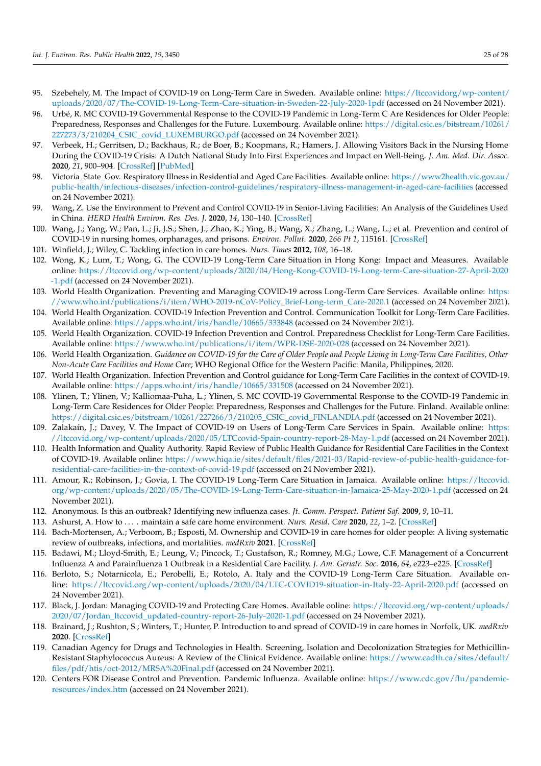- 95. Szebehely, M. The Impact of COVID-19 on Long-Term Care in Sweden. Available online: https://ltccovidorg/wp-content/ uploads/2020/07/The-COVID-19-Long-Term-Care-situation-in-Sweden-22-July-2020-1pdf (accessed on 24 November 2021).
- 96. Urbé, R. MC COVID-19 Governmental Response to the COVID-19 Pandemic in Long-Term C Are Residences for Older People: Preparedness, Responses and Challenges for the Future. Luxembourg. Available online: https://digital.csic.es/bitstream/10261/ 227273/3/210204\_CSIC\_covid\_LUXEMBURGO.pdf (accessed on 24 November 2021).
- 97. Verbeek, H.; Gerritsen, D.; Backhaus, R.; de Boer, B.; Koopmans, R.; Hamers, J. Allowing Visitors Back in the Nursing Home During the COVID-19 Crisis: A Dutch National Study Into First Experiences and Impact on Well-Being. *J. Am. Med. Dir. Assoc.* **2020**, *21*, 900–904. [CrossRef] [PubMed]
- 98. Victoria\_State\_Gov. Respiratory Illness in Residential and Aged Care Facilities. Available online: https://www2health.vic.gov.au/ public-health/infectious-diseases/infection-control-guidelines/respiratory-illness-management-in-aged-care-facilities (accessed on 24 November 2021).
- 99. Wang, Z. Use the Environment to Prevent and Control COVID-19 in Senior-Living Facilities: An Analysis of the Guidelines Used in China. *HERD Health Environ. Res. Des. J.* **2020**, *14*, 130–140. [CrossRef]
- 100. Wang, J.; Yang, W.; Pan, L.; Ji, J.S.; Shen, J.; Zhao, K.; Ying, B.; Wang, X.; Zhang, L.; Wang, L.; et al. Prevention and control of COVID-19 in nursing homes, orphanages, and prisons. *Environ. Pollut.* **2020**, *266 Pt 1*, 115161. [CrossRef]
- 101. Winfield, J.; Wiley, C. Tackling infection in care homes. *Nurs. Times* **2012**, *108*, 16–18.
- 102. Wong, K.; Lum, T.; Wong, G. The COVID-19 Long-Term Care Situation in Hong Kong: Impact and Measures. Available online: https://ltccovid.org/wp-content/uploads/2020/04/Hong-Kong-COVID-19-Long-term-Care-situation-27-April-2020 -1.pdf (accessed on 24 November 2021).
- 103. World Health Organization. Preventing and Managing COVID-19 across Long-Term Care Services. Available online: https: //www.who.int/publications/i/item/WHO-2019-nCoV-Policy\_Brief-Long-term\_Care-2020.1 (accessed on 24 November 2021).
- 104. World Health Organization. COVID-19 Infection Prevention and Control. Communication Toolkit for Long-Term Care Facilities. Available online: https://apps.who.int/iris/handle/10665/333848 (accessed on 24 November 2021).
- 105. World Health Organization. COVID-19 Infection Prevention and Control. Preparedness Checklist for Long-Term Care Facilities. Available online: https://www.who.int/publications/i/item/WPR-DSE-2020-028 (accessed on 24 November 2021).
- 106. World Health Organization. *Guidance on COVID-19 for the Care of Older People and People Living in Long-Term Care Facilities, Other Non-Acute Care Facilities and Home Care*; WHO Regional Office for the Western Pacific: Manila, Philippines, 2020.
- 107. World Health Organization. Infection Prevention and Control guidance for Long-Term Care Facilities in the context of COVID-19. Available online: https://apps.who.int/iris/handle/10665/331508 (accessed on 24 November 2021).
- 108. Ylinen, T.; Ylinen, V.; Kalliomaa-Puha, L.; Ylinen, S. MC COVID-19 Governmental Response to the COVID-19 Pandemic in Long-Term Care Residences for Older People: Preparedness, Responses and Challenges for the Future. Finland. Available online: https://digital.csic.es/bitstream/10261/227266/3/210205\_CSIC\_covid\_FINLANDIA.pdf (accessed on 24 November 2021).
- 109. Zalakaín, J.; Davey, V. The Impact of COVID-19 on Users of Long-Term Care Services in Spain. Available online: https: //ltccovid.org/wp-content/uploads/2020/05/LTCcovid-Spain-country-report-28-May-1.pdf (accessed on 24 November 2021).
- 110. Health Information and Quality Authority. Rapid Review of Public Health Guidance for Residential Care Facilities in the Context of COVID-19. Available online: https://www.hiqa.ie/sites/default/files/2021-03/Rapid-review-of-public-health-guidance-forresidential-care-facilities-in-the-context-of-covid-19.pdf (accessed on 24 November 2021).
- 111. Amour, R.; Robinson, J.; Govia, I. The COVID-19 Long-Term Care Situation in Jamaica. Available online: https://ltccovid. org/wp-content/uploads/2020/05/The-COVID-19-Long-Term-Care-situation-in-Jamaica-25-May-2020-1.pdf (accessed on 24 November 2021).
- 112. Anonymous. Is this an outbreak? Identifying new influenza cases. *Jt. Comm. Perspect. Patient Saf.* **2009**, *9*, 10–11.
- 113. Ashurst, A. How to . . . . maintain a safe care home environment. *Nurs. Resid. Care* **2020**, *22*, 1–2. [CrossRef]
- 114. Bach-Mortensen, A.; Verboom, B.; Esposti, M. Ownership and COVID-19 in care homes for older people: A living systematic review of outbreaks, infections, and mortalities. *medRxiv* **2021**. [CrossRef]
- 115. Badawi, M.; Lloyd-Smith, E.; Leung, V.; Pincock, T.; Gustafson, R.; Romney, M.G.; Lowe, C.F. Management of a Concurrent Influenza A and Parainfluenza 1 Outbreak in a Residential Care Facility. *J. Am. Geriatr. Soc.* **2016**, *64*, e223–e225. [CrossRef]
- 116. Berloto, S.; Notarnicola, E.; Perobelli, E.; Rotolo, A. Italy and the COVID-19 Long-Term Care Situation. Available online: https://ltccovid.org/wp-content/uploads/2020/04/LTC-COVID19-situation-in-Italy-22-April-2020.pdf (accessed on 24 November 2021).
- 117. Black, J. Jordan: Managing COVID-19 and Protecting Care Homes. Available online: https://ltccovid.org/wp-content/uploads/ 2020/07/Jordan\_ltccovid\_updated-country-report-26-July-2020-1.pdf (accessed on 24 November 2021).
- 118. Brainard, J.; Rushton, S.; Winters, T.; Hunter, P. Introduction to and spread of COVID-19 in care homes in Norfolk, UK. *medRxiv* **2020**. [CrossRef]
- 119. Canadian Agency for Drugs and Technologies in Health. Screening, Isolation and Decolonization Strategies for Methicillin-Resistant Staphylococcus Aureus: A Review of the Clinical Evidence. Available online: https://www.cadth.ca/sites/default/ files/pdf/htis/oct-2012/MRSA%20Final.pdf (accessed on 24 November 2021).
- 120. Centers FOR Disease Control and Prevention. Pandemic Influenza. Available online: https://www.cdc.gov/flu/pandemicresources/index.htm (accessed on 24 November 2021).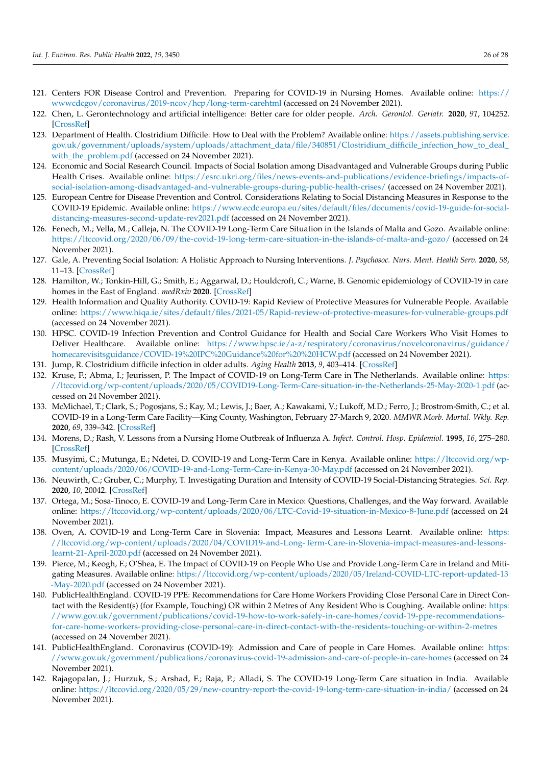- 121. Centers FOR Disease Control and Prevention. Preparing for COVID-19 in Nursing Homes. Available online: https:// wwwcdcgov/coronavirus/2019-ncov/hcp/long-term-carehtml (accessed on 24 November 2021).
- 122. Chen, L. Gerontechnology and artificial intelligence: Better care for older people. *Arch. Gerontol. Geriatr.* **2020**, *91*, 104252. [CrossRef]
- 123. Department of Health. Clostridium Difficile: How to Deal with the Problem? Available online: https://assets.publishing.service. gov.uk/government/uploads/system/uploads/attachment\_data/file/340851/Clostridium\_difficile\_infection\_how\_to\_deal\_ with the problem.pdf (accessed on 24 November 2021).
- 124. Economic and Social Research Council. Impacts of Social Isolation among Disadvantaged and Vulnerable Groups during Public Health Crises. Available online: https://esrc.ukri.org/files/news-events-and-publications/evidence-briefings/impacts-ofsocial-isolation-among-disadvantaged-and-vulnerable-groups-during-public-health-crises/ (accessed on 24 November 2021).
- 125. European Centre for Disease Prevention and Control. Considerations Relating to Social Distancing Measures in Response to the COVID-19 Epidemic. Available online: https://www.ecdc.europa.eu/sites/default/files/documents/covid-19-guide-for-socialdistancing-measures-second-update-rev2021.pdf (accessed on 24 November 2021).
- 126. Fenech, M.; Vella, M.; Calleja, N. The COVID-19 Long-Term Care Situation in the Islands of Malta and Gozo. Available online: https://ltccovid.org/2020/06/09/the-covid-19-long-term-care-situation-in-the-islands-of-malta-and-gozo/ (accessed on 24 November 2021).
- 127. Gale, A. Preventing Social Isolation: A Holistic Approach to Nursing Interventions. *J. Psychosoc. Nurs. Ment. Health Serv.* **2020**, *58*, 11–13. [CrossRef]
- 128. Hamilton, W.; Tonkin-Hill, G.; Smith, E.; Aggarwal, D.; Houldcroft, C.; Warne, B. Genomic epidemiology of COVID-19 in care homes in the East of England. *medRxiv* **2020**. [CrossRef]
- 129. Health Information and Quality Authority. COVID-19: Rapid Review of Protective Measures for Vulnerable People. Available online: https://www.hiqa.ie/sites/default/files/2021-05/Rapid-review-of-protective-measures-for-vulnerable-groups.pdf (accessed on 24 November 2021).
- 130. HPSC. COVID-19 Infection Prevention and Control Guidance for Health and Social Care Workers Who Visit Homes to Deliver Healthcare. Available online: https://www.hpsc.ie/a-z/respiratory/coronavirus/novelcoronavirus/guidance/ homecarevisitsguidance/COVID-19%20IPC%20Guidance%20for%20%20HCW.pdf (accessed on 24 November 2021).
- 131. Jump, R. Clostridium difficile infection in older adults. *Aging Health* **2013**, *9*, 403–414. [CrossRef]
- 132. Kruse, F.; Abma, I.; Jeurissen, P. The Impact of COVID-19 on Long-Term Care in The Netherlands. Available online: https: //ltccovid.org/wp-content/uploads/2020/05/COVID19-Long-Term-Care-situation-in-the-Netherlands-25-May-2020-1.pdf (accessed on 24 November 2021).
- 133. McMichael, T.; Clark, S.; Pogosjans, S.; Kay, M.; Lewis, J.; Baer, A.; Kawakami, V.; Lukoff, M.D.; Ferro, J.; Brostrom-Smith, C.; et al. COVID-19 in a Long-Term Care Facility—King County, Washington, February 27-March 9, 2020. *MMWR Morb. Mortal. Wkly. Rep.* **2020**, *69*, 339–342. [CrossRef]
- 134. Morens, D.; Rash, V. Lessons from a Nursing Home Outbreak of Influenza A. *Infect. Control. Hosp. Epidemiol.* **1995**, *16*, 275–280. [CrossRef]
- 135. Musyimi, C.; Mutunga, E.; Ndetei, D. COVID-19 and Long-Term Care in Kenya. Available online: https://ltccovid.org/wpcontent/uploads/2020/06/COVID-19-and-Long-Term-Care-in-Kenya-30-May.pdf (accessed on 24 November 2021).
- 136. Neuwirth, C.; Gruber, C.; Murphy, T. Investigating Duration and Intensity of COVID-19 Social-Distancing Strategies. *Sci. Rep.* **2020**, *10*, 20042. [CrossRef]
- 137. Ortega, M.; Sosa-Tinoco, E. COVID-19 and Long-Term Care in Mexico: Questions, Challenges, and the Way forward. Available online: https://ltccovid.org/wp-content/uploads/2020/06/LTC-Covid-19-situation-in-Mexico-8-June.pdf (accessed on 24 November 2021).
- 138. Oven, A. COVID-19 and Long-Term Care in Slovenia: Impact, Measures and Lessons Learnt. Available online: https: //ltccovid.org/wp-content/uploads/2020/04/COVID19-and-Long-Term-Care-in-Slovenia-impact-measures-and-lessonslearnt-21-April-2020.pdf (accessed on 24 November 2021).
- 139. Pierce, M.; Keogh, F.; O'Shea, E. The Impact of COVID-19 on People Who Use and Provide Long-Term Care in Ireland and Mitigating Measures. Available online: https://ltccovid.org/wp-content/uploads/2020/05/Ireland-COVID-LTC-report-updated-13 -May-2020.pdf (accessed on 24 November 2021).
- 140. PublicHealthEngland. COVID-19 PPE: Recommendations for Care Home Workers Providing Close Personal Care in Direct Contact with the Resident(s) (for Example, Touching) OR within 2 Metres of Any Resident Who is Coughing. Available online: https: //www.gov.uk/government/publications/covid-19-how-to-work-safely-in-care-homes/covid-19-ppe-recommendationsfor-care-home-workers-providing-close-personal-care-in-direct-contact-with-the-residents-touching-or-within-2-metres (accessed on 24 November 2021).
- 141. PublicHealthEngland. Coronavirus (COVID-19): Admission and Care of people in Care Homes. Available online: https: //www.gov.uk/government/publications/coronavirus-covid-19-admission-and-care-of-people-in-care-homes (accessed on 24 November 2021).
- 142. Rajagopalan, J.; Hurzuk, S.; Arshad, F.; Raja, P.; Alladi, S. The COVID-19 Long-Term Care situation in India. Available online: https://ltccovid.org/2020/05/29/new-country-report-the-covid-19-long-term-care-situation-in-india/ (accessed on 24 November 2021).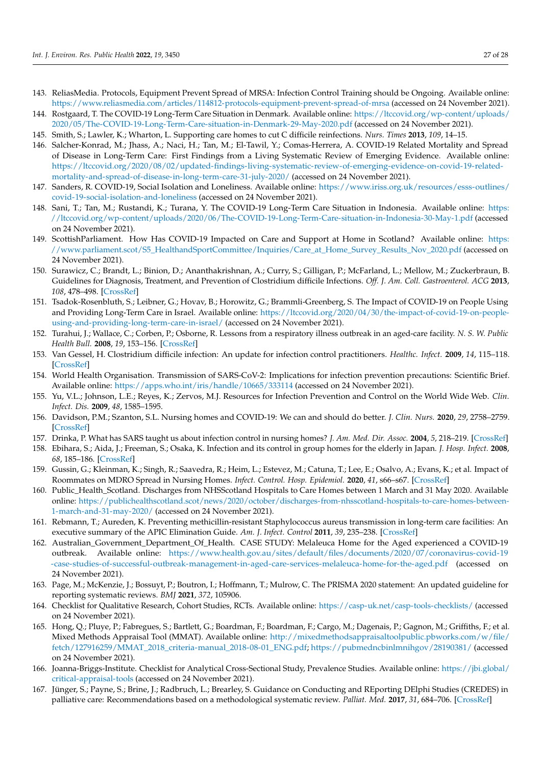- 143. ReliasMedia. Protocols, Equipment Prevent Spread of MRSA: Infection Control Training should be Ongoing. Available online: https://www.reliasmedia.com/articles/114812-protocols-equipment-prevent-spread-of-mrsa (accessed on 24 November 2021).
- 144. Rostgaard, T. The COVID-19 Long-Term Care Situation in Denmark. Available online: https://ltccovid.org/wp-content/uploads/ 2020/05/The-COVID-19-Long-Term-Care-situation-in-Denmark-29-May-2020.pdf (accessed on 24 November 2021).
- 145. Smith, S.; Lawler, K.; Wharton, L. Supporting care homes to cut C difficile reinfections. *Nurs. Times* **2013**, *109*, 14–15.
- 146. Salcher-Konrad, M.; Jhass, A.; Naci, H.; Tan, M.; El-Tawil, Y.; Comas-Herrera, A. COVID-19 Related Mortality and Spread of Disease in Long-Term Care: First Findings from a Living Systematic Review of Emerging Evidence. Available online: https://ltccovid.org/2020/08/02/updated-findings-living-systematic-review-of-emerging-evidence-on-covid-19-relatedmortality-and-spread-of-disease-in-long-term-care-31-july-2020/ (accessed on 24 November 2021).
- 147. Sanders, R. COVID-19, Social Isolation and Loneliness. Available online: https://www.iriss.org.uk/resources/esss-outlines/ covid-19-social-isolation-and-loneliness (accessed on 24 November 2021).
- 148. Sani, T.; Tan, M.; Rustandi, K.; Turana, Y. The COVID-19 Long-Term Care Situation in Indonesia. Available online: https: //ltccovid.org/wp-content/uploads/2020/06/The-COVID-19-Long-Term-Care-situation-in-Indonesia-30-May-1.pdf (accessed on 24 November 2021).
- 149. ScottishParliament. How Has COVID-19 Impacted on Care and Support at Home in Scotland? Available online: https: //www.parliament.scot/S5\_HealthandSportCommittee/Inquiries/Care\_at\_Home\_Survey\_Results\_Nov\_2020.pdf (accessed on 24 November 2021).
- 150. Surawicz, C.; Brandt, L.; Binion, D.; Ananthakrishnan, A.; Curry, S.; Gilligan, P.; McFarland, L.; Mellow, M.; Zuckerbraun, B. Guidelines for Diagnosis, Treatment, and Prevention of Clostridium difficile Infections. *Off. J. Am. Coll. Gastroenterol. ACG* **2013**, *108*, 478–498. [CrossRef]
- 151. Tsadok-Rosenbluth, S.; Leibner, G.; Hovav, B.; Horowitz, G.; Brammli-Greenberg, S. The Impact of COVID-19 on People Using and Providing Long-Term Care in Israel. Available online: https://ltccovid.org/2020/04/30/the-impact-of-covid-19-on-peopleusing-and-providing-long-term-care-in-israel/ (accessed on 24 November 2021).
- 152. Turahui, J.; Wallace, C.; Corben, P.; Osborne, R. Lessons from a respiratory illness outbreak in an aged-care facility. *N. S. W. Public Health Bull.* **2008**, *19*, 153–156. [CrossRef]
- 153. Van Gessel, H. Clostridium difficile infection: An update for infection control practitioners. *Healthc. Infect.* **2009**, *14*, 115–118. [CrossRef]
- 154. World Health Organisation. Transmission of SARS-CoV-2: Implications for infection prevention precautions: Scientific Brief. Available online: https://apps.who.int/iris/handle/10665/333114 (accessed on 24 November 2021).
- 155. Yu, V.L.; Johnson, L.E.; Reyes, K.; Zervos, M.J. Resources for Infection Prevention and Control on the World Wide Web. *Clin. Infect. Dis.* **2009**, *48*, 1585–1595.
- 156. Davidson, P.M.; Szanton, S.L. Nursing homes and COVID-19: We can and should do better. *J. Clin. Nurs.* **2020**, *29*, 2758–2759. [CrossRef]
- 157. Drinka, P. What has SARS taught us about infection control in nursing homes? *J. Am. Med. Dir. Assoc.* **2004**, *5*, 218–219. [CrossRef]
- 158. Ebihara, S.; Aida, J.; Freeman, S.; Osaka, K. Infection and its control in group homes for the elderly in Japan. *J. Hosp. Infect.* **2008**, *68*, 185–186. [CrossRef]
- 159. Gussin, G.; Kleinman, K.; Singh, R.; Saavedra, R.; Heim, L.; Estevez, M.; Catuna, T.; Lee, E.; Osalvo, A.; Evans, K.; et al. Impact of Roommates on MDRO Spread in Nursing Homes. *Infect. Control. Hosp. Epidemiol.* **2020**, *41*, s66–s67. [CrossRef]
- 160. Public\_Health\_Scotland. Discharges from NHSScotland Hospitals to Care Homes between 1 March and 31 May 2020. Available online: https://publichealthscotland.scot/news/2020/october/discharges-from-nhsscotland-hospitals-to-care-homes-between-1-march-and-31-may-2020/ (accessed on 24 November 2021).
- 161. Rebmann, T.; Aureden, K. Preventing methicillin-resistant Staphylococcus aureus transmission in long-term care facilities: An executive summary of the APIC Elimination Guide. *Am. J. Infect. Control* **2011**, *39*, 235–238. [CrossRef]
- 162. Australian\_Government\_Department\_Of\_Health. CASE STUDY: Melaleuca Home for the Aged experienced a COVID-19 outbreak. Available online: https://www.health.gov.au/sites/default/files/documents/2020/07/coronavirus-covid-19 -case-studies-of-successful-outbreak-management-in-aged-care-services-melaleuca-home-for-the-aged.pdf (accessed on 24 November 2021).
- 163. Page, M.; McKenzie, J.; Bossuyt, P.; Boutron, I.; Hoffmann, T.; Mulrow, C. The PRISMA 2020 statement: An updated guideline for reporting systematic reviews. *BMJ* **2021**, *372*, 105906.
- 164. Checklist for Qualitative Research, Cohort Studies, RCTs. Available online: https://casp-uk.net/casp-tools-checklists/ (accessed on 24 November 2021).
- 165. Hong, Q.; Pluye, P.; Fabregues, S.; Bartlett, G.; Boardman, F.; Boardman, F.; Cargo, M.; Dagenais, P.; Gagnon, M.; Griffiths, F.; et al. Mixed Methods Appraisal Tool (MMAT). Available online: http://mixedmethodsappraisaltoolpublic.pbworks.com/w/file/ fetch/127916259/MMAT\_2018\_criteria-manual\_2018-08-01\_ENG.pdf; https://pubmedncbinlmnihgov/28190381/ (accessed on 24 November 2021).
- 166. Joanna-Briggs-Institute. Checklist for Analytical Cross-Sectional Study, Prevalence Studies. Available online: https://jbi.global/ critical-appraisal-tools (accessed on 24 November 2021).
- 167. Jünger, S.; Payne, S.; Brine, J.; Radbruch, L.; Brearley, S. Guidance on Conducting and REporting DElphi Studies (CREDES) in palliative care: Recommendations based on a methodological systematic review. *Palliat. Med.* **2017**, *31*, 684–706. [CrossRef]